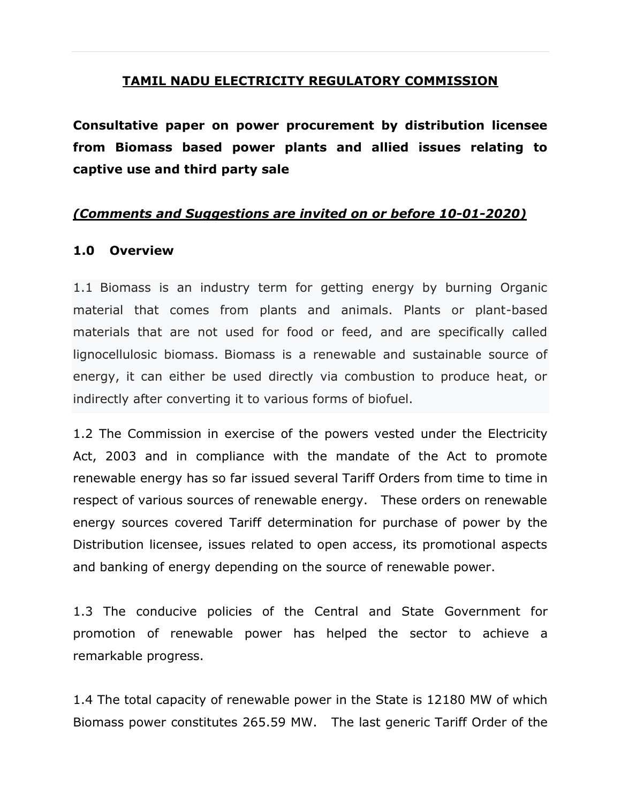## **TAMIL NADU ELECTRICITY REGULATORY COMMISSION**

**Consultative paper on power procurement by distribution licensee from Biomass based power plants and allied issues relating to captive use and third party sale** 

## *(Comments and Suggestions are invited on or before 10-01-2020)*

#### **1.0 Overview**

1.1 Biomass is an industry term for getting energy by burning Organic material that comes from plants and animals. Plants or plant-based materials that are not used for food or feed, and are specifically called lignocellulosic biomass. Biomass is a renewable and sustainable source of energy, it can either be used directly via combustion to produce heat, or indirectly after converting it to various forms of biofuel.

1.2 The Commission in exercise of the powers vested under the Electricity Act, 2003 and in compliance with the mandate of the Act to promote renewable energy has so far issued several Tariff Orders from time to time in respect of various sources of renewable energy. These orders on renewable energy sources covered Tariff determination for purchase of power by the Distribution licensee, issues related to open access, its promotional aspects and banking of energy depending on the source of renewable power.

1.3 The conducive policies of the Central and State Government for promotion of renewable power has helped the sector to achieve a remarkable progress.

1.4 The total capacity of renewable power in the State is 12180 MW of which Biomass power constitutes 265.59 MW.The last generic Tariff Order of the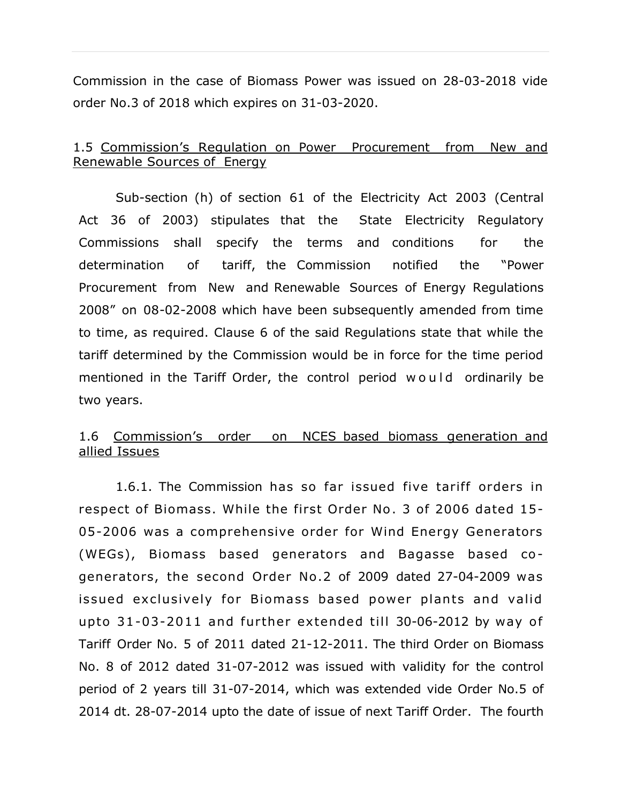Commission in the case of Biomass Power was issued on 28-03-2018 vide order No.3 of 2018 which expires on 31-03-2020.

## 1.5 Commission's Regulation on Power Procurement from New and Renewable Sources of Energy

Sub-section (h) of section 61 of the Electricity Act 2003 (Central Act 36 of 2003) stipulates that the State Electricity Regulatory Commissions shall specify the terms and conditions for the determination of tariff, the Commission notified the "Power Procurement from New and Renewable Sources of Energy Regulations 2008" on 08-02-2008 which have been subsequently amended from time to time, as required. Clause 6 of the said Regulations state that while the tariff determined by the Commission would be in force for the time period mentioned in the Tariff Order, the control period would ordinarily be two years.

## 1.6 Commission's order on NCES based biomass generation and allied Issues

1.6.1. The Commission has so far issued five tariff orders in respect of Biomass. While the first Order No. 3 of 2006 dated 15- 05-2006 was a comprehensive order for Wind Energy Generators (WEGs), Biomass based generators and Bagasse based cogenerators, the second Order No.2 of 2009 dated 27-04-2009 was issued exclusively for Biomass based power plants and valid upto  $31-03-2011$  and further extended till 30-06-2012 by way of Tariff Order No. 5 of 2011 dated 21-12-2011. The third Order on Biomass No. 8 of 2012 dated 31-07-2012 was issued with validity for the control period of 2 years till 31-07-2014, which was extended vide Order No.5 of 2014 dt. 28-07-2014 upto the date of issue of next Tariff Order. The fourth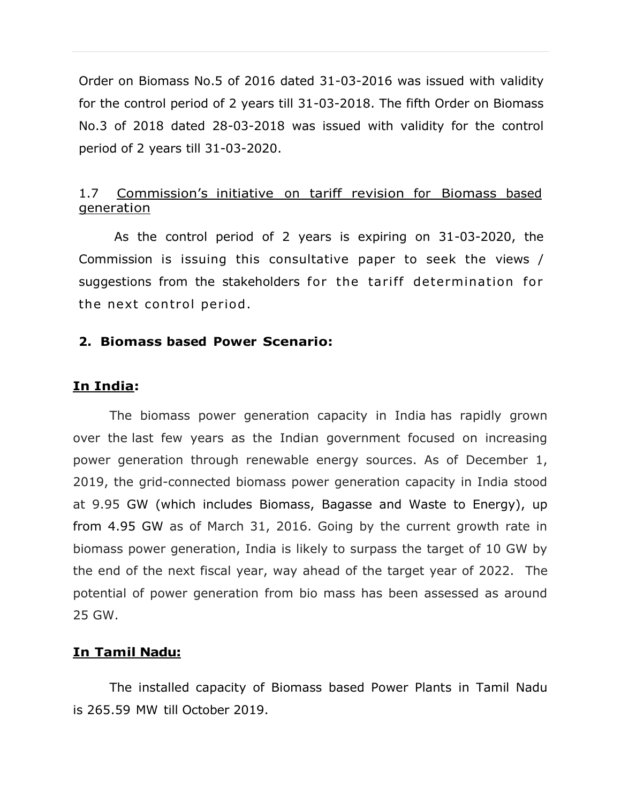Order on Biomass No.5 of 2016 dated 31-03-2016 was issued with validity for the control period of 2 years till 31-03-2018. The fifth Order on Biomass No.3 of 2018 dated 28-03-2018 was issued with validity for the control period of 2 years till 31-03-2020.

## 1.7 Commission's initiative on tariff revision for Biomass based generation

As the control period of 2 years is expiring on 31-03-2020, the Commission is issuing this consultative paper to seek the views / suggestions from the stakeholders for the tariff determination for the next control period.

#### **2. Biomass based Power Scenario:**

#### **In India:**

The biomass power generation capacity in India has rapidly grown over the last few years as the Indian government focused on increasing power generation through renewable energy sources. As of December 1, 2019, the grid-connected biomass power generation capacity in India stood at 9.95 GW (which includes Biomass, Bagasse and Waste to Energy), up from 4.95 GW as of March 31, 2016. Going by the current growth rate in biomass power generation, India is likely to surpass the target of 10 GW by the end of the next fiscal year, way ahead of the target year of 2022. The potential of power generation from bio mass has been assessed as around 25 GW.

## **In Tamil Nadu:**

The installed capacity of Biomass based Power Plants in Tamil Nadu is 265.59 MW till October 2019.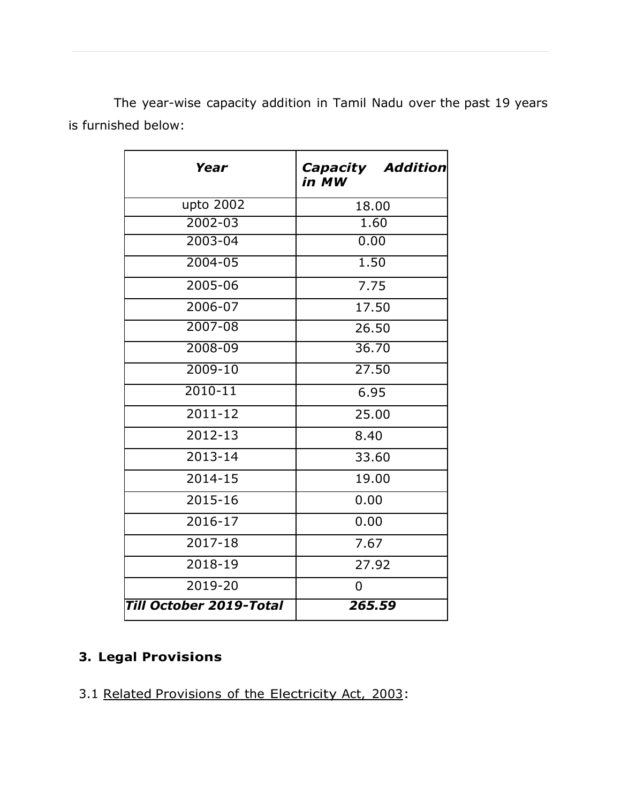The year-wise capacity addition in Tamil Nadu over the past 19 years is furnished below:

| Year                    | <b>Capacity Addition</b><br>in MW |  |  |
|-------------------------|-----------------------------------|--|--|
| upto 2002               | 18.00                             |  |  |
| $2002 - 03$             | 1.60                              |  |  |
| 2003-04                 | 0.00                              |  |  |
| $2004 - 05$             | 1.50                              |  |  |
| 2005-06                 | 7.75                              |  |  |
| 2006-07                 | 17.50                             |  |  |
| 2007-08                 | 26.50                             |  |  |
| 2008-09                 | 36.70                             |  |  |
| $2009 - 10$             | 27.50                             |  |  |
| $2010 - 11$             | 6.95                              |  |  |
| $2011 - 12$             | 25.00                             |  |  |
| 2012-13                 | 8.40                              |  |  |
| 2013-14                 | 33.60                             |  |  |
| $2014 - 15$             | 19.00                             |  |  |
| 2015-16                 | 0.00                              |  |  |
| 2016-17                 | 0.00                              |  |  |
| 2017-18                 | 7.67                              |  |  |
| 2018-19                 | 27.92                             |  |  |
| 2019-20                 | 0                                 |  |  |
| Till October 2019-Total | 265.59                            |  |  |

## **3. Legal Provisions**

3.1 Related Provisions of the Electricity Act, 2003: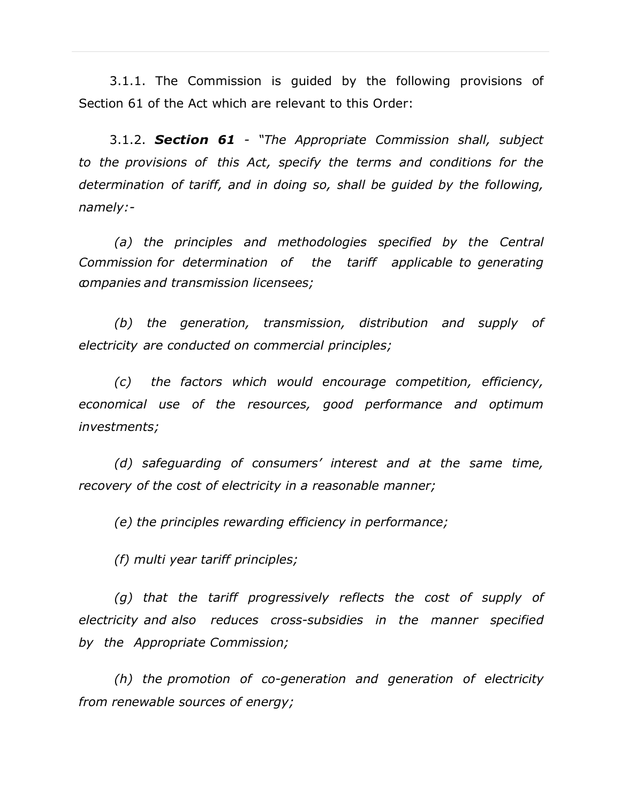3.1.1. The Commission is guided by the following provisions of Section 61 of the Act which are relevant to this Order:

3.1.2. *Section 61 - "The Appropriate Commission shall, subject to the provisions of this Act, specify the terms and conditions for the determination of tariff, and in doing so, shall be guided by the following, namely:-*

*(a) the principles and methodologies specified by the Central Commission for determination of the tariff applicable to generating companies and transmission licensees;*

*(b) the generation, transmission, distribution and supply of electricity are conducted on commercial principles;*

*(c) the factors which would encourage competition, efficiency, economical use of the resources, good performance and optimum investments;*

*(d) safeguarding of consumers' interest and at the same time, recovery of the cost of electricity in a reasonable manner;*

*(e) the principles rewarding efficiency in performance;*

*(f) multi year tariff principles;*

*(g) that the tariff progressively reflects the cost of supply of electricity and also reduces cross-subsidies in the manner specified by the Appropriate Commission;*

*(h) the promotion of co-generation and generation of electricity from renewable sources of energy;*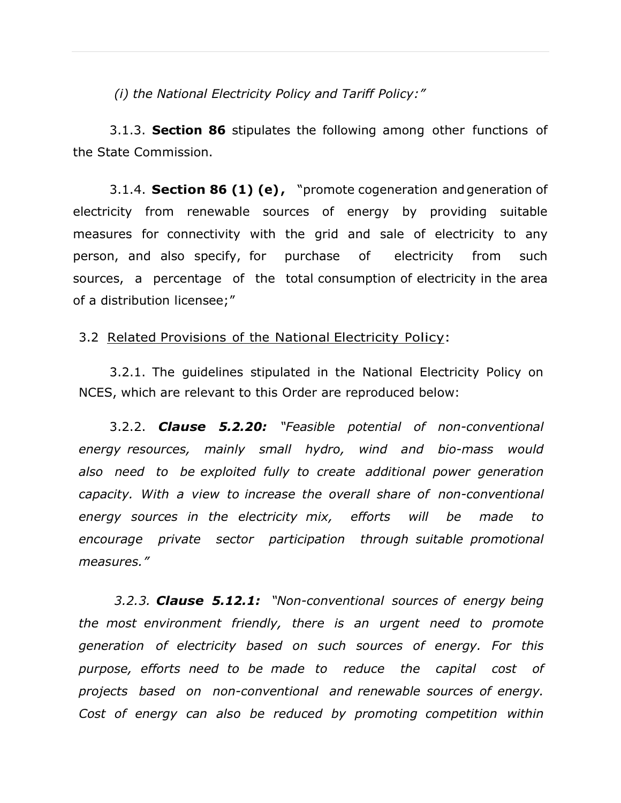*(i) the National Electricity Policy and Tariff Policy:"*

3.1.3. **Section 86** stipulates the following among other functions of the State Commission.

3.1.4. **Section 86 (1) (e) ,** "promote cogeneration and generation of electricity from renewable sources of energy by providing suitable measures for connectivity with the grid and sale of electricity to any person, and also specify, for purchase of electricity from such sources, a percentage of the total consumption of electricity in the area of a distribution licensee;"

#### 3.2 Related Provisions of the National Electricity Policy:

3.2.1. The guidelines stipulated in the National Electricity Policy on NCES, which are relevant to this Order are reproduced below:

3.2.2. *Clause 5.2.20: "Feasible potential of non-conventional energy resources, mainly small hydro, wind and bio-mass would also need to be exploited fully to create additional power generation capacity. With a view to increase the overall share of non-conventional energy sources in the electricity mix, efforts will be made to encourage private sector participation through suitable promotional measures."*

*3.2.3. Clause 5.12.1: "Non-conventional sources of energy being the most environment friendly, there is an urgent need to promote generation of electricity based on such sources of energy. For this purpose, efforts need to be made to reduce the capital cost of projects based on non-conventional and renewable sources of energy. Cost of energy can also be reduced by promoting competition within*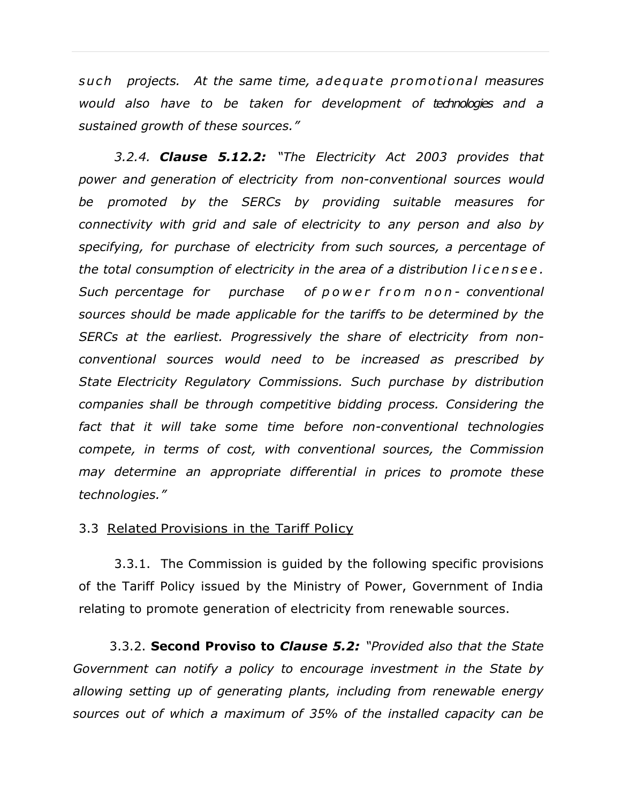*s u c h projects. At the same time, a dequa te promo tional measures would also have to be taken for development of technologies and a sustained growth of these sources."*

*3.2.4. Clause 5.12.2: "The Electricity Act 2003 provides that power and generation of electricity from non-conventional sources would be promoted by the SERCs by providing suitable measures for connectivity with grid and sale of electricity to any person and also by specifying, for purchase of electricity from such sources, a percentage of the total consumption of electricity in the area of a distribution l i c e n s e e . Such percentage for purchase of p o w e r f r o m n o n - conventional sources should be made applicable for the tariffs to be determined by the SERCs at the earliest. Progressively the share of electricity from nonconventional sources would need to be increased as prescribed by State Electricity Regulatory Commissions. Such purchase by distribution companies shall be through competitive bidding process. Considering the fact that it will take some time before non-conventional technologies compete, in terms of cost, with conventional sources, the Commission may determine an appropriate differential in prices to promote these technologies."*

#### 3.3 Related Provisions in the Tariff Policy

3.3.1. The Commission is guided by the following specific provisions of the Tariff Policy issued by the Ministry of Power, Government of India relating to promote generation of electricity from renewable sources.

3.3.2. **Second Proviso to** *Clause 5.2: "Provided also that the State Government can notify a policy to encourage investment in the State by allowing setting up of generating plants, including from renewable energy sources out of which a maximum of 35% of the installed capacity can be*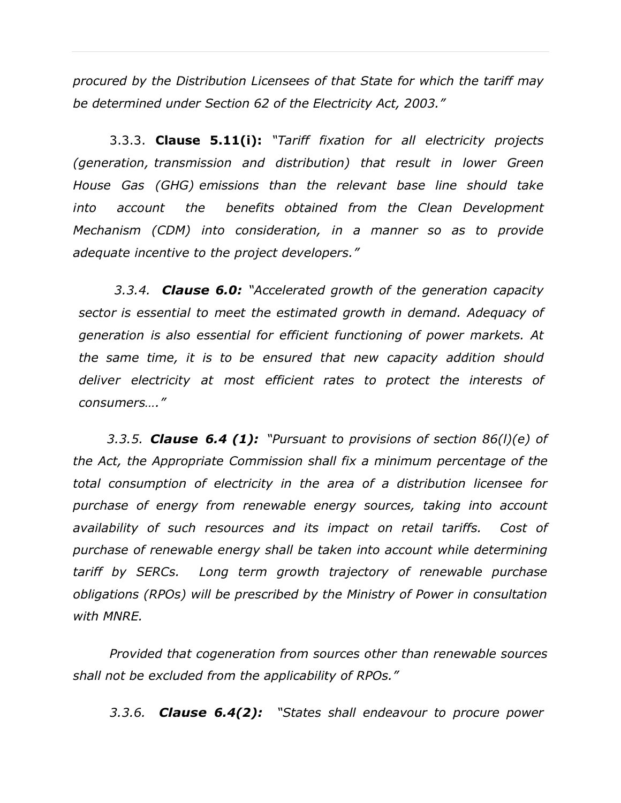*procured by the Distribution Licensees of that State for which the tariff may be determined under Section 62 of the Electricity Act, 2003."*

3.3.3. **Clause 5.11(i):** *"Tariff fixation for all electricity projects (generation, transmission and distribution) that result in lower Green House Gas (GHG) emissions than the relevant base line should take into account the benefits obtained from the Clean Development Mechanism (CDM) into consideration, in a manner so as to provide adequate incentive to the project developers."*

*3.3.4. Clause 6.0: "Accelerated growth of the generation capacity sector is essential to meet the estimated growth in demand. Adequacy of generation is also essential for efficient functioning of power markets. At the same time, it is to be ensured that new capacity addition should deliver electricity at most efficient rates to protect the interests of consumers…."*

 *3.3.5. Clause 6.4 (1): "Pursuant to provisions of section 86(l)(e) of the Act, the Appropriate Commission shall fix a minimum percentage of the total consumption of electricity in the area of a distribution licensee for purchase of energy from renewable energy sources, taking into account availability of such resources and its impact on retail tariffs. Cost of purchase of renewable energy shall be taken into account while determining tariff by SERCs. Long term growth trajectory of renewable purchase obligations (RPOs) will be prescribed by the Ministry of Power in consultation with MNRE.*

*Provided that cogeneration from sources other than renewable sources shall not be excluded from the applicability of RPOs."*

*3.3.6. Clause 6.4(2): "States shall endeavour to procure power*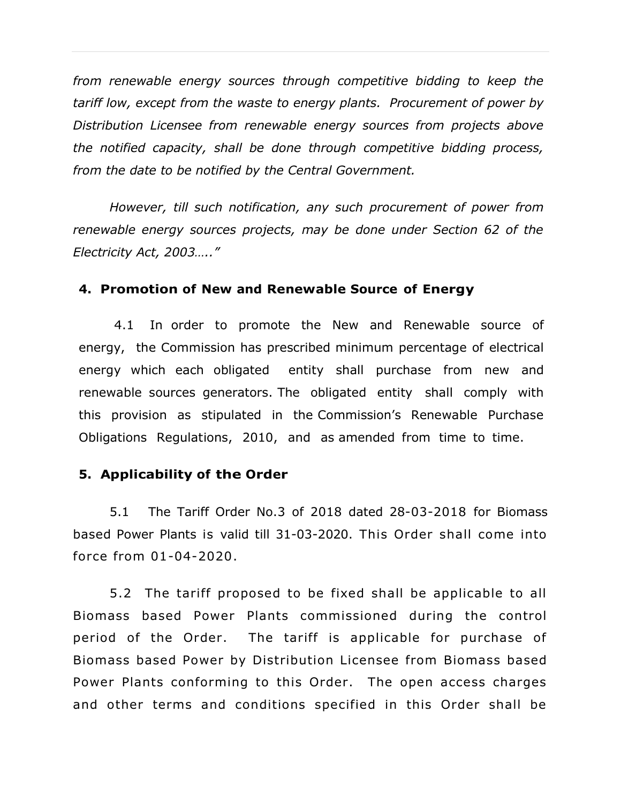*from renewable energy sources through competitive bidding to keep the tariff low, except from the waste to energy plants. Procurement of power by Distribution Licensee from renewable energy sources from projects above the notified capacity, shall be done through competitive bidding process, from the date to be notified by the Central Government.*

*However, till such notification, any such procurement of power from renewable energy sources projects, may be done under Section 62 of the Electricity Act, 2003….."* 

#### **4. Promotion of New and Renewable Source of Energy**

4.1 In order to promote the New and Renewable source of energy, the Commission has prescribed minimum percentage of electrical energy which each obligated entity shall purchase from new and renewable sources generators. The obligated entity shall comply with this provision as stipulated in the Commission's Renewable Purchase Obligations Regulations, 2010, and as amended from time to time.

#### **5. Applicability of the Order**

5.1 The Tariff Order No.3 of 2018 dated 28-03-2018 for Biomass based Power Plants is valid till 31-03-2020. This Order shall come into force from 01-04-2020.

5.2 The tariff proposed to be fixed shall be applicable to all Biomass based Power Plants commissioned during the control period of the Order. The tariff is applicable for purchase of Biomass based Power by Distribution Licensee from Biomass based Power Plants conforming to this Order. The open access charges and other terms and conditions specified in this Order shall be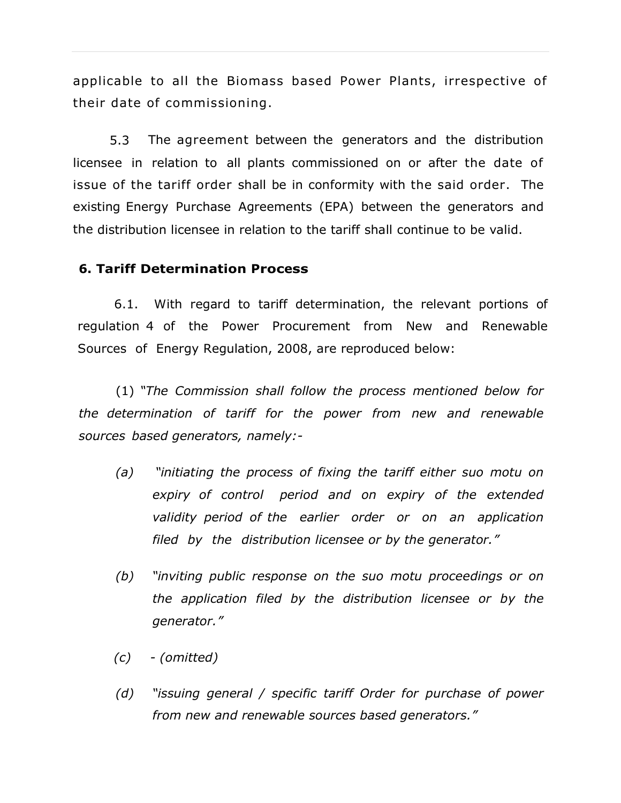applicable to all the Biomass based Power Plants, irrespective of their date of commissioning.

5.3 The agreement between the generators and the distribution licensee in relation to all plants commissioned on or after the date of issue of the tariff order shall be in conformity with the said order. The existing Energy Purchase Agreements (EPA) between the generators and the distribution licensee in relation to the tariff shall continue to be valid.

## **6. Tariff Determination Process**

6.1. With regard to tariff determination, the relevant portions of regulation 4 of the Power Procurement from New and Renewable Sources of Energy Regulation, 2008, are reproduced below:

(1) *"The Commission shall follow the process mentioned below for the determination of tariff for the power from new and renewable sources based generators, namely:-*

- *(a) "initiating the process of fixing the tariff either suo motu on expiry of control period and on expiry of the extended validity period of the earlier order or on an application filed by the distribution licensee or by the generator."*
- *(b) "inviting public response on the suo motu proceedings or on the application filed by the distribution licensee or by the generator."*
- *(c) - (omitted)*
- *(d) "issuing general / specific tariff Order for purchase of power from new and renewable sources based generators."*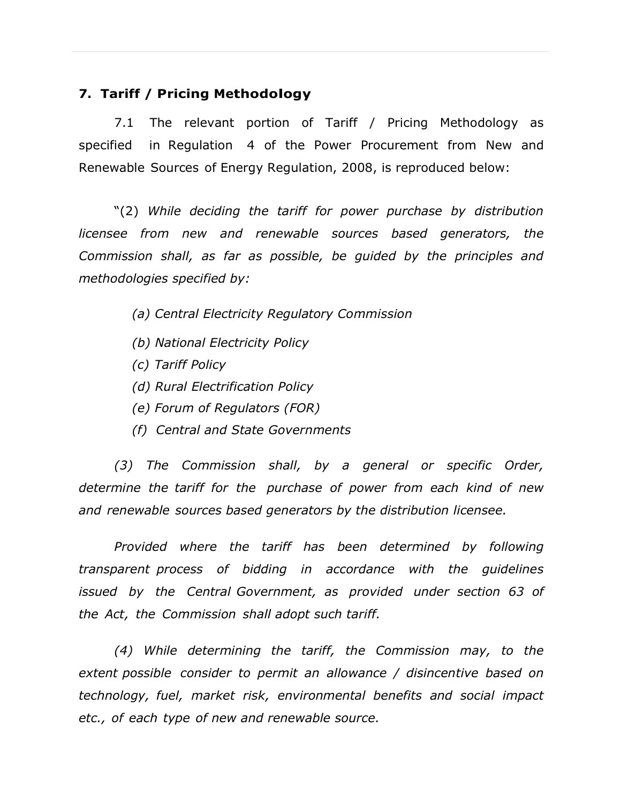## **7. Tariff / Pricing Methodology**

7.1 The relevant portion of Tariff / Pricing Methodology as specified in Regulation 4 of the Power Procurement from New and Renewable Sources of Energy Regulation, 2008, is reproduced below:

"(2) *While deciding the tariff for power purchase by distribution licensee from new and renewable sources based generators, the Commission shall, as far as possible, be guided by the principles and methodologies specified by:*

- *(a) Central Electricity Regulatory Commission*
- *(b) National Electricity Policy*
- *(c) Tariff Policy*
- *(d) Rural Electrification Policy*
- *(e) Forum of Regulators (FOR)*
- *(f) Central and State Governments*

*(3) The Commission shall, by a general or specific Order, determine the tariff for the purchase of power from each kind of new and renewable sources based generators by the distribution licensee.*

*Provided where the tariff has been determined by following transparent process of bidding in accordance with the guidelines issued by the Central Government, as provided under section 63 of the Act, the Commission shall adopt such tariff.*

*(4) While determining the tariff, the Commission may, to the extent possible consider to permit an allowance / disincentive based on technology, fuel, market risk, environmental benefits and social impact etc., of each type of new and renewable source.*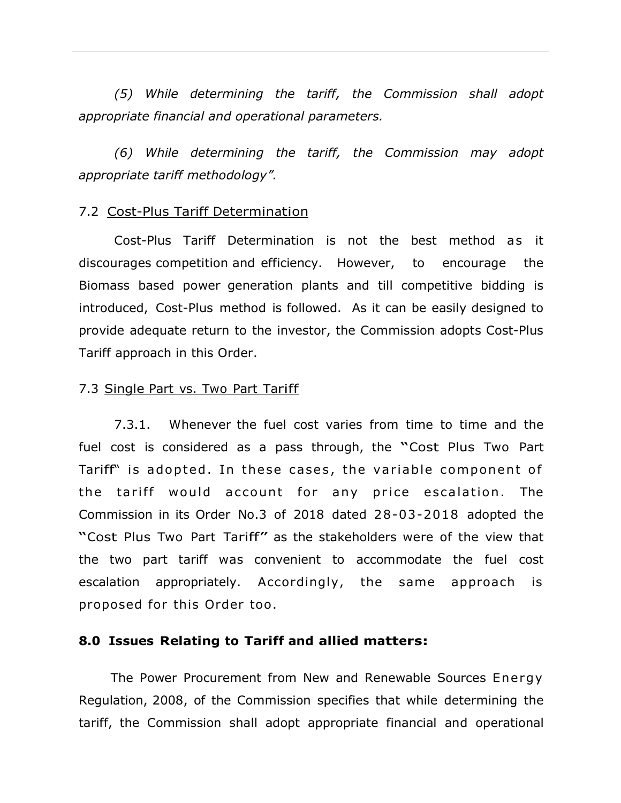*(5) While determining the tariff, the Commission shall adopt appropriate financial and operational parameters.*

*(6) While determining the tariff, the Commission may adopt appropriate tariff methodology".*

#### 7.2 Cost-Plus Tariff Determination

Cost-Plus Tariff Determination is not the best method as it discourages competition and efficiency. However, to encourage the Biomass based power generation plants and till competitive bidding is introduced, Cost-Plus method is followed. As it can be easily designed to provide adequate return to the investor, the Commission adopts Cost-Plus Tariff approach in this Order.

#### 7.3 Single Part vs. Two Part Tariff

7.3.1. Whenever the fuel cost varies from time to time and the fuel cost is considered as <sup>a</sup> pass through, the "Cost Plus Two Part Tariff" is adopted. In these cases, the variable component of the tariff would account for any price escalation. The Commission in its Order No.3 of 2018 dated 28-03-2018 adopted the "Cost Plus Two Part Tariff" as the stakeholders were of the view that the two part tariff was convenient to accommodate the fuel cost escalation appropriately. Accordingly, the same approach is proposed for this Order too .

#### **8.0 Issues Relating to Tariff and allied matters:**

The Power Procurement from New and Renewable Sources Energy Regulation, 2008, of the Commission specifies that while determining the tariff, the Commission shall adopt appropriate financial and operational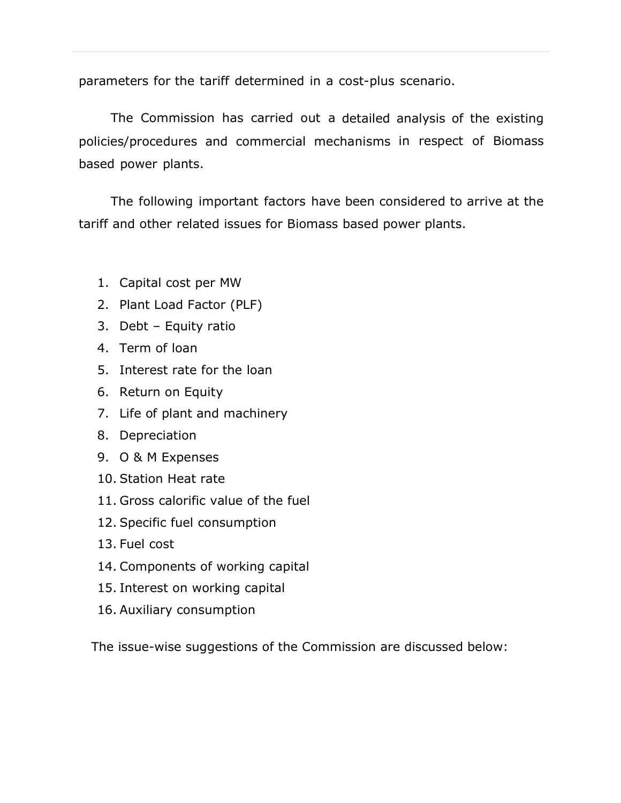parameters for the tariff determined in a cost-plus scenario.

The Commission has carried out a detailed analysis of the existing policies/procedures and commercial mechanisms in respect of Biomass based power plants.

The following important factors have been considered to arrive at the tariff and other related issues for Biomass based power plants.

- 1. Capital cost per MW
- 2. Plant Load Factor (PLF)
- 3. Debt Equity ratio
- 4. Term of loan
- 5. Interest rate for the loan
- 6. Return on Equity
- 7. Life of plant and machinery
- 8. Depreciation
- 9. O & M Expenses
- 10. Station Heat rate
- 11. Gross calorific value of the fuel
- 12. Specific fuel consumption
- 13. Fuel cost
- 14. Components of working capital
- 15. Interest on working capital
- 16. Auxiliary consumption

The issue-wise suggestions of the Commission are discussed below: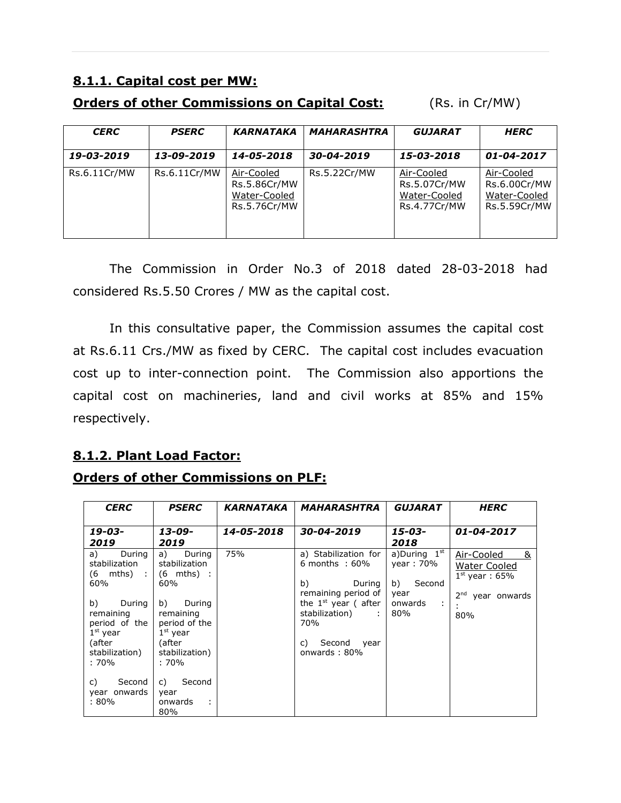## **8.1.1. Capital cost per MW:**

## **Orders of other Commissions on Capital Cost:** (Rs. in Cr/MW)

| <b>CERC</b>  | <b>PSERC</b> | <b>KARNATAKA</b>                                           | <b>MAHARASHTRA</b> | <b>GUJARAT</b>                                             | <b>HERC</b>                                                |
|--------------|--------------|------------------------------------------------------------|--------------------|------------------------------------------------------------|------------------------------------------------------------|
| 19-03-2019   | 13-09-2019   | 14-05-2018                                                 | 30-04-2019         | 15-03-2018                                                 | 01-04-2017                                                 |
| Rs.6.11Cr/MW | Rs.6.11Cr/MW | Air-Cooled<br>Rs.5.86Cr/MW<br>Water-Cooled<br>Rs.5.76Cr/MW | Rs.5.22Cr/MW       | Air-Cooled<br>Rs.5.07Cr/MW<br>Water-Cooled<br>Rs.4.77Cr/MW | Air-Cooled<br>Rs.6.00Cr/MW<br>Water-Cooled<br>Rs.5.59Cr/MW |

The Commission in Order No.3 of 2018 dated 28-03-2018 had considered Rs.5.50 Crores / MW as the capital cost.

In this consultative paper, the Commission assumes the capital cost at Rs.6.11 Crs./MW as fixed by CERC. The capital cost includes evacuation cost up to inter-connection point. The Commission also apportions the capital cost on machineries, land and civil works at 85% and 15% respectively.

## **8.1.2. Plant Load Factor:**

|  | <b>Orders of other Commissions on PLF:</b> |  |
|--|--------------------------------------------|--|
|  |                                            |  |

| <b>CERC</b>                                                                                            | <b>PSERC</b>                                                                                    | KARNATAKA  | <i><b>MAHARASHTRA</b></i>                                                             | GUJARAT                                                    | <i><b>HERC</b></i>                                                              |
|--------------------------------------------------------------------------------------------------------|-------------------------------------------------------------------------------------------------|------------|---------------------------------------------------------------------------------------|------------------------------------------------------------|---------------------------------------------------------------------------------|
|                                                                                                        |                                                                                                 |            |                                                                                       |                                                            |                                                                                 |
| 19-03-<br>2019                                                                                         | $13 - 09 -$<br>2019                                                                             | 14-05-2018 | 30-04-2019                                                                            | 15-03-<br>2018                                             | 01-04-2017                                                                      |
| a)<br>During  <br>stabilization<br>$(6 \text{ mths}) : (6 \text{ mths}) :$<br>60%                      | a) During<br>stabilization<br>60%                                                               | 75%        | a) Stabilization for<br>$6$ months : $60\%$<br>b)<br>During<br>remaining period of    | a)During 1 <sup>st</sup><br>year: 70%<br>b) Second<br>year | Air-Cooled<br>&<br><b>Water Cooled</b><br>$1st$ year: 65%<br>$2nd$ year onwards |
| b)<br>During<br>remaining<br>period of the<br>$1^{\rm st}$ year<br>(after<br>stabilization)<br>$:70\%$ | b)<br>During<br>remaining<br>period of the<br>$1st$ year<br>(after<br>stabilization)<br>$:70\%$ |            | the $1^{st}$ year (after<br>stabilization) :<br>70%<br>c) Second year<br>onwards: 80% | onwards :<br>80%                                           | 80%                                                                             |
| C)<br>Second<br>year onwards<br>:80%                                                                   | Second<br>C)<br>year<br>onwards<br>$\sim$ 1.<br>80%                                             |            |                                                                                       |                                                            |                                                                                 |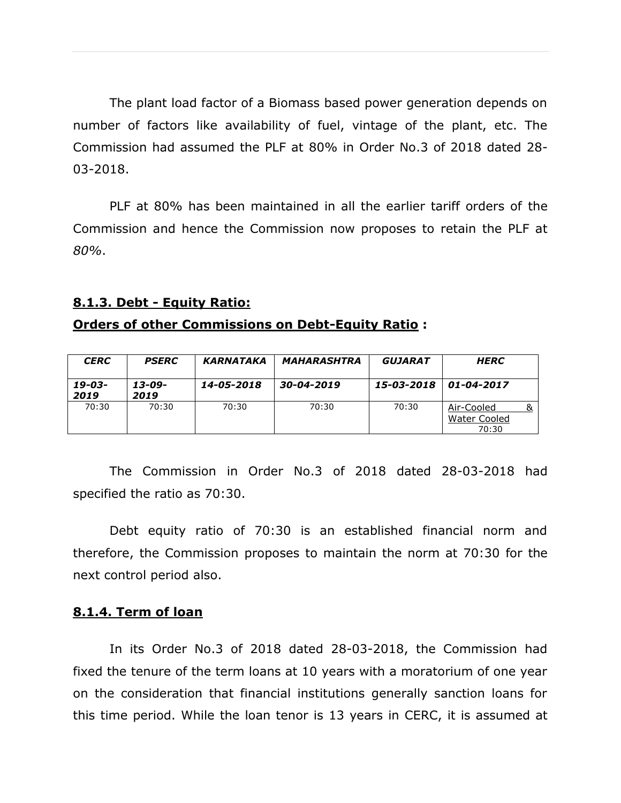The plant load factor of a Biomass based power generation depends on number of factors like availability of fuel, vintage of the plant, etc. The Commission had assumed the PLF at 80% in Order No.3 of 2018 dated 28- 03-2018.

PLF at 80% has been maintained in all the earlier tariff orders of the Commission and hence the Commission now proposes to retain the PLF at *80%*.

#### **8.1.3. Debt - Equity Ratio:**

#### **Orders of other Commissions on Debt-Equity Ratio :**

| <b>CERC</b>    | <b>PSERC</b>   | KARNATAKA  | <b>MAHARASHTRA</b> | GUJARAT    | <b>HERC</b>                         |  |
|----------------|----------------|------------|--------------------|------------|-------------------------------------|--|
| 19-03-<br>2019 | 13-09-<br>2019 | 14-05-2018 | 30-04-2019         | 15-03-2018 | 01-04-2017                          |  |
| 70:30          | 70:30          | 70:30      | 70:30              | 70:30      | Air-Cooled<br>Water Cooled<br>70:30 |  |

The Commission in Order No.3 of 2018 dated 28-03-2018 had specified the ratio as 70:30.

Debt equity ratio of 70:30 is an established financial norm and therefore, the Commission proposes to maintain the norm at 70:30 for the next control period also.

#### **8.1.4. Term of loan**

In its Order No.3 of 2018 dated 28-03-2018, the Commission had fixed the tenure of the term loans at 10 years with a moratorium of one year on the consideration that financial institutions generally sanction loans for this time period. While the loan tenor is 13 years in CERC, it is assumed at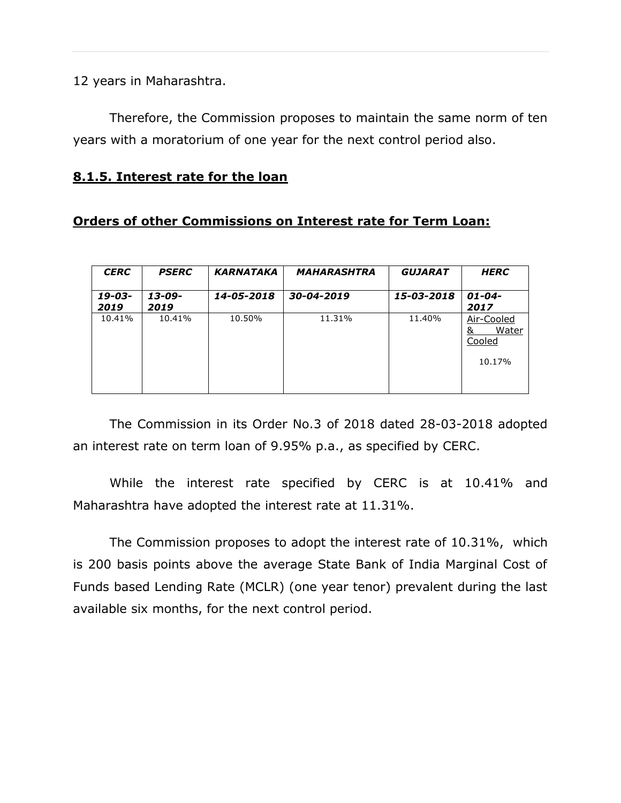12 years in Maharashtra.

Therefore, the Commission proposes to maintain the same norm of ten years with a moratorium of one year for the next control period also.

#### **8.1.5. Interest rate for the loan**

## **Orders of other Commissions on Interest rate for Term Loan:**

| <b>CERC</b>    | <b>PSERC</b>        | <b>KARNATAKA</b> | <b>MAHARASHTRA</b> | <b>GUJARAT</b> | <b>HERC</b>                                  |
|----------------|---------------------|------------------|--------------------|----------------|----------------------------------------------|
| 19-03-<br>2019 | $13 - 09 -$<br>2019 | 14-05-2018       | 30-04-2019         | 15-03-2018     | $01 - 04 -$<br>2017                          |
| 10.41%         | 10.41%              | 10.50%           | 11.31%             | 11.40%         | Air-Cooled<br>Water<br>&<br>Cooled<br>10.17% |

The Commission in its Order No.3 of 2018 dated 28-03-2018 adopted an interest rate on term loan of 9.95% p.a., as specified by CERC.

While the interest rate specified by CERC is at 10.41% and Maharashtra have adopted the interest rate at 11.31%.

The Commission proposes to adopt the interest rate of 10.31%, which is 200 basis points above the average State Bank of India Marginal Cost of Funds based Lending Rate (MCLR) (one year tenor) prevalent during the last available six months, for the next control period.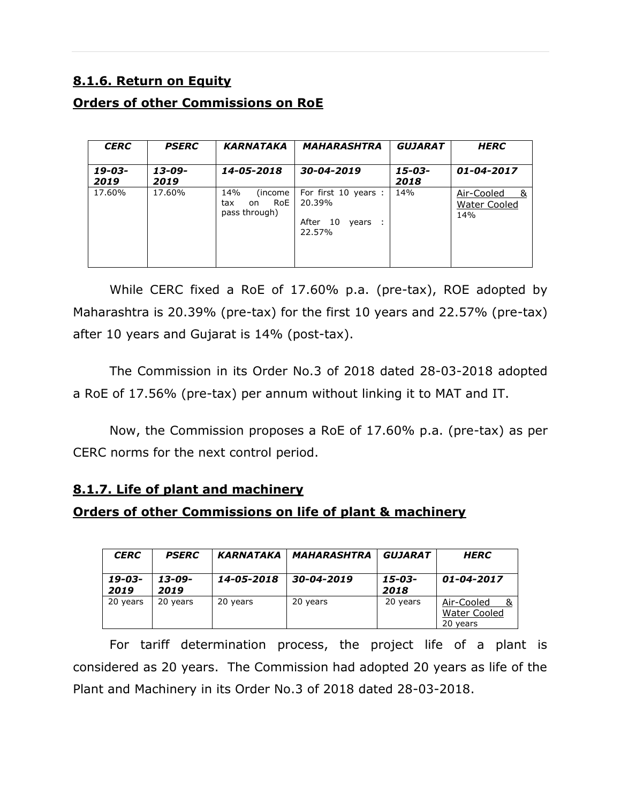## **8.1.6. Return on Equity**

## **Orders of other Commissions on RoE**

| <b>CERC</b>    | <b>PSERC</b>        | <b>KARNATAKA</b>                                      | <b>MAHARASHTRA</b>                                               | <b>GUJARAT</b> | <b>HERC</b>                              |
|----------------|---------------------|-------------------------------------------------------|------------------------------------------------------------------|----------------|------------------------------------------|
| 19-03-<br>2019 | $13 - 09 -$<br>2019 | 14-05-2018                                            | 30-04-2019                                                       | 15-03-<br>2018 | 01-04-2017                               |
| 17.60%         | 17.60%              | 14%<br>(income)<br>RoE<br>tax<br>on.<br>pass through) | For first 10 years :<br>20.39%<br>After<br>10<br>vears<br>22.57% | 14%            | Air-Cooled<br>- &<br>Water Cooled<br>14% |

While CERC fixed a RoE of 17.60% p.a. (pre-tax), ROE adopted by Maharashtra is 20.39% (pre-tax) for the first 10 years and 22.57% (pre-tax) after 10 years and Gujarat is 14% (post-tax).

The Commission in its Order No.3 of 2018 dated 28-03-2018 adopted a RoE of 17.56% (pre-tax) per annum without linking it to MAT and IT.

Now, the Commission proposes a RoE of 17.60% p.a. (pre-tax) as per CERC norms for the next control period.

## **8.1.7. Life of plant and machinery**

## **Orders of other Commissions on life of plant & machinery**

| <b>CERC</b>    | <b>PSERC</b>   | <b>KARNATAKA</b> | MAHARASHTRA | <i><b>GUJARAT</b></i> | <b>HERC</b>                                   |
|----------------|----------------|------------------|-------------|-----------------------|-----------------------------------------------|
| 19-03-<br>2019 | 13-09-<br>2019 | 14-05-2018       | 30-04-2019  | $15 - 03 -$<br>2018   | 01-04-2017                                    |
| 20 years       | 20 years       | 20 years         | 20 years    | 20 years              | Air-Cooled<br><b>Water Cooled</b><br>20 years |

For tariff determination process, the project life of a plant is considered as 20 years. The Commission had adopted 20 years as life of the Plant and Machinery in its Order No.3 of 2018 dated 28-03-2018.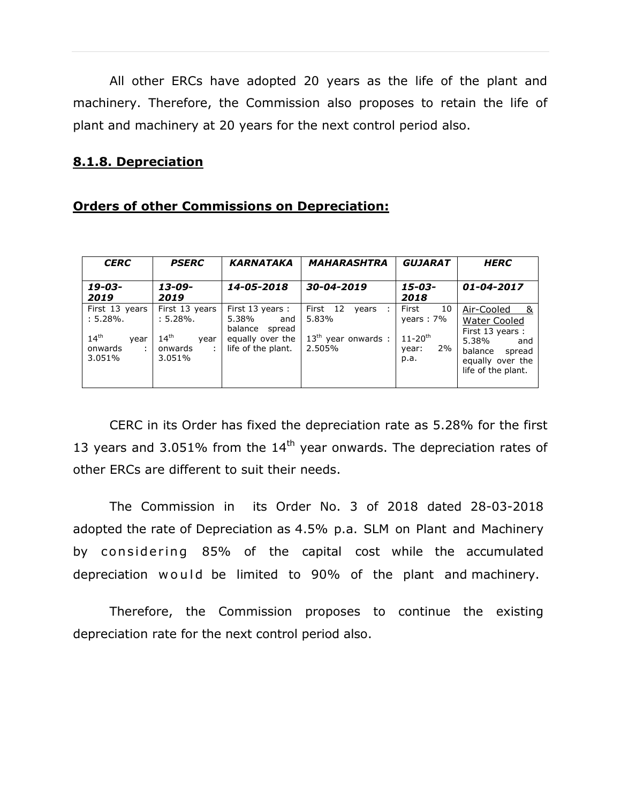All other ERCs have adopted 20 years as the life of the plant and machinery. Therefore, the Commission also proposes to retain the life of plant and machinery at 20 years for the next control period also.

#### **8.1.8. Depreciation**

|  | <b>Orders of other Commissions on Depreciation:</b> |
|--|-----------------------------------------------------|
|  |                                                     |

| <b>CERC</b>                                                                          | <b>PSERC</b>                                                                    | <b>KARNATAKA</b>                                                                                | <b>MAHARASHTRA</b>                                                 | <b>GUJARAT</b>                                                                | <b>HERC</b>                                                                                                                         |
|--------------------------------------------------------------------------------------|---------------------------------------------------------------------------------|-------------------------------------------------------------------------------------------------|--------------------------------------------------------------------|-------------------------------------------------------------------------------|-------------------------------------------------------------------------------------------------------------------------------------|
| 19-03-<br>2019                                                                       | $13 - 09 -$<br>2019                                                             | 14-05-2018                                                                                      | 30-04-2019                                                         | $15 - 03 -$<br>2018                                                           | 01-04-2017                                                                                                                          |
| First 13 years<br>$: 5.28\%$ .<br>14 <sup>th</sup><br>vear<br>onwards<br>÷<br>3.051% | First 13 years<br>$: 5.28\%$ .<br>14 <sup>th</sup><br>vear<br>onwards<br>3.051% | First 13 years :<br>5.38%<br>and<br>balance<br>spread<br>equally over the<br>life of the plant. | First 12<br>years<br>÷<br>5.83%<br>$13th$ year onwards :<br>2.505% | First<br>10<br>years: $7\%$<br>$11 - 20$ <sup>th</sup><br>2%<br>year:<br>p.a. | Air-Cooled<br>- &<br>Water Cooled<br>First 13 years:<br>5.38%<br>and<br>balance<br>spread<br>equally over the<br>life of the plant. |

CERC in its Order has fixed the depreciation rate as 5.28% for the first 13 years and 3.051% from the  $14<sup>th</sup>$  year onwards. The depreciation rates of other ERCs are different to suit their needs.

The Commission in its Order No. 3 of 2018 dated 28-03-2018 adopted the rate of Depreciation as 4.5% p.a. SLM on Plant and Machinery by considering 85% of the capital cost while the accumulated depreciation would be limited to 90% of the plant and machinery.

Therefore, the Commission proposes to continue the existing depreciation rate for the next control period also.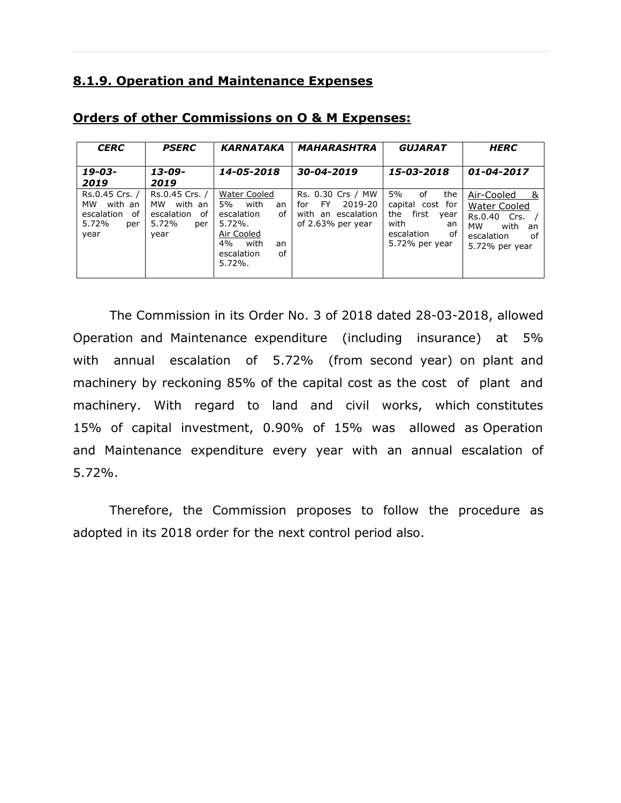## **8.1.9. Operation and Maintenance Expenses**

| <b>CERC</b>                                                                 | <b>PSERC</b>                                                                | <b>KARNATAKA</b>                                                                                                                       | <b>MAHARASHTRA</b>                                                                    | <b>GUJARAT</b>                                                                                                  | <b>HERC</b>                                                                                                               |
|-----------------------------------------------------------------------------|-----------------------------------------------------------------------------|----------------------------------------------------------------------------------------------------------------------------------------|---------------------------------------------------------------------------------------|-----------------------------------------------------------------------------------------------------------------|---------------------------------------------------------------------------------------------------------------------------|
| 19-03-<br>2019                                                              | 13-09-<br>2019                                                              | 14-05-2018                                                                                                                             | 30-04-2019                                                                            | 15-03-2018                                                                                                      | 01-04-2017                                                                                                                |
| Rs.0.45 Crs. /<br>with an<br>мw<br>escalation<br>of<br>5.72%<br>per<br>year | Rs.0.45 Crs. /<br>with an<br>MW<br>escalation<br>of<br>5.72%<br>per<br>year | Water Cooled<br>5%<br>with<br>an<br>escalation<br>of<br>$5.72\%$ .<br>Air Cooled<br>4%<br>with<br>an<br>escalation<br>οf<br>$5.72\%$ . | Rs. 0.30 Crs / MW<br>FY.<br>2019-20<br>for<br>with an escalation<br>of 2.63% per year | 5%<br>of<br>the<br>capital cost for<br>first<br>the<br>year<br>with<br>an<br>escalation<br>of<br>5.72% per year | Air-Cooled<br>- &<br><b>Water Cooled</b><br>Rs.0.40 Crs.<br><b>MW</b><br>with<br>an<br>escalation<br>of<br>5.72% per year |

#### **Orders of other Commissions on O & M Expenses:**

The Commission in its Order No. 3 of 2018 dated 28-03-2018, allowed Operation and Maintenance expenditure (including insurance) at 5% with annual escalation of 5.72% (from second year) on plant and machinery by reckoning 85% of the capital cost as the cost of plant and machinery. With regard to land and civil works, which constitutes 15% of capital investment, 0.90% of 15% was allowed as Operation and Maintenance expenditure every year with an annual escalation of 5.72%.

Therefore, the Commission proposes to follow the procedure as adopted in its 2018 order for the next control period also.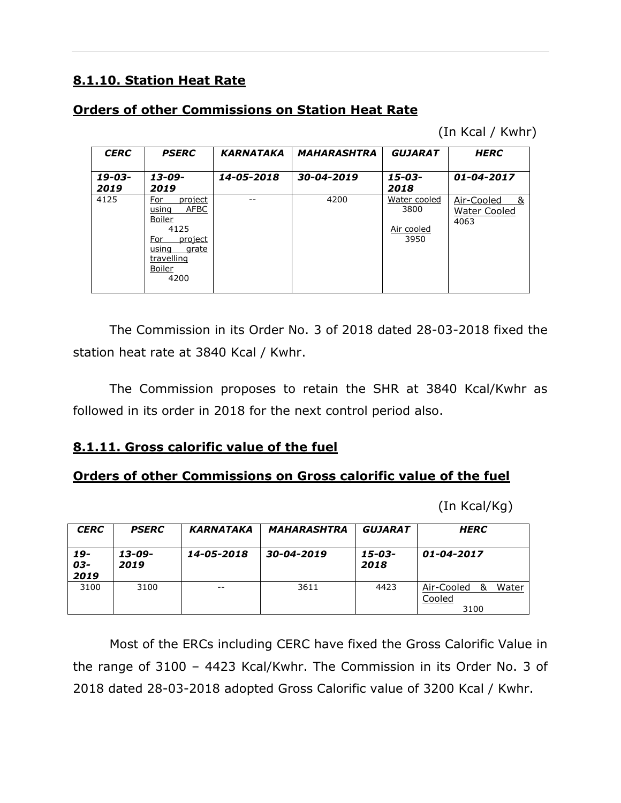## **8.1.10. Station Heat Rate**

## **Orders of other Commissions on Station Heat Rate**

(In Kcal / Kwhr)

| <b>CERC</b>    | <b>PSERC</b>                                                                                                                        | <b>KARNATAKA</b> | <b>MAHARASHTRA</b> | <b>GUJARAT</b>                             | <b>HERC</b>                              |
|----------------|-------------------------------------------------------------------------------------------------------------------------------------|------------------|--------------------|--------------------------------------------|------------------------------------------|
| 19-03-<br>2019 | $13 - 09 -$<br>2019                                                                                                                 | 14-05-2018       | 30-04-2019         | 15-03-<br>2018                             | 01-04-2017                               |
| 4125           | For<br>project<br><b>AFBC</b><br>using<br><b>Boiler</b><br>4125<br>For<br>project<br>grate<br>using<br>travelling<br>Boiler<br>4200 |                  | 4200               | Water cooled<br>3800<br>Air cooled<br>3950 | Air-Cooled<br>୍ଷ<br>Water Cooled<br>4063 |

The Commission in its Order No. 3 of 2018 dated 28-03-2018 fixed the station heat rate at 3840 Kcal / Kwhr.

The Commission proposes to retain the SHR at 3840 Kcal/Kwhr as followed in its order in 2018 for the next control period also.

## **8.1.11. Gross calorific value of the fuel**

## **Orders of other Commissions on Gross calorific value of the fuel**

(In Kcal/Kg)

| <b>CERC</b>        | <b>PSERC</b>   | <b>KARNATAKA</b> | <b>MAHARASHTRA</b> | <b>GUJARAT</b> | <b>HERC</b>                                |
|--------------------|----------------|------------------|--------------------|----------------|--------------------------------------------|
| 19-<br>03-<br>2019 | 13-09-<br>2019 | 14-05-2018       | 30-04-2019         | 15-03-<br>2018 | 01-04-2017                                 |
| 3100               | 3100           | $ -$             | 3611               | 4423           | Water<br>Air-Cooled<br>&<br>Cooled<br>3100 |

Most of the ERCs including CERC have fixed the Gross Calorific Value in the range of 3100 – 4423 Kcal/Kwhr. The Commission in its Order No. 3 of 2018 dated 28-03-2018 adopted Gross Calorific value of 3200 Kcal / Kwhr.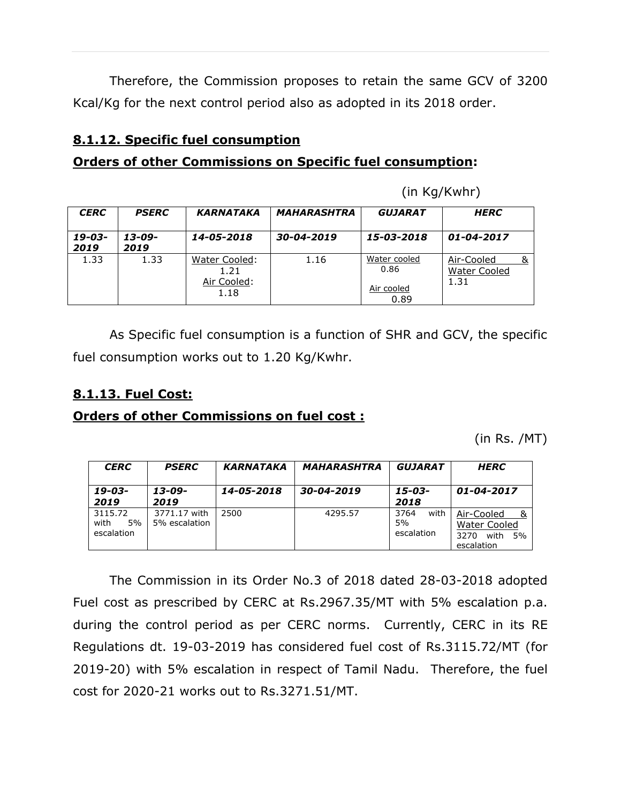Therefore, the Commission proposes to retain the same GCV of 3200 Kcal/Kg for the next control period also as adopted in its 2018 order.

## **8.1.12. Specific fuel consumption**

## **Orders of other Commissions on Specific fuel consumption:**

(in Kg/Kwhr)

| <b>CERC</b>         | <b>PSERC</b>        | <b>KARNATAKA</b>                             | <b>MAHARASHTRA</b> | <b>GUJARAT</b>                             | <b>HERC</b>                               |
|---------------------|---------------------|----------------------------------------------|--------------------|--------------------------------------------|-------------------------------------------|
| $19 - 03 -$<br>2019 | $13 - 09 -$<br>2019 | 14-05-2018                                   | 30-04-2019         | 15-03-2018                                 | 01-04-2017                                |
| 1.33                | 1.33                | Water Cooled:<br>1.21<br>Air Cooled:<br>1.18 | 1.16               | Water cooled<br>0.86<br>Air cooled<br>0.89 | Air-Cooled<br><b>Water Cooled</b><br>1.31 |

As Specific fuel consumption is a function of SHR and GCV, the specific fuel consumption works out to 1.20 Kg/Kwhr.

## **8.1.13. Fuel Cost:**

## **Orders of other Commissions on fuel cost :**

(in Rs. /MT)

| <b>CERC</b><br><b>PSERC</b>           |                               | <b>KARNATAKA</b> | <b>MAHARASHTRA</b> | <b>GUJARAT</b>                   | <b>HERC</b>                                                           |  |  |  |  |
|---------------------------------------|-------------------------------|------------------|--------------------|----------------------------------|-----------------------------------------------------------------------|--|--|--|--|
| $13 - 09 -$<br>19-03-<br>2019<br>2019 |                               | 14-05-2018       | 30-04-2019         | 15-03-<br>2018                   | 01-04-2017                                                            |  |  |  |  |
| 3115.72<br>with<br>5%<br>escalation   | 3771.17 with<br>5% escalation | 2500             | 4295.57            | 3764<br>with<br>5%<br>escalation | Air-Cooled<br><b>Water Cooled</b><br>with<br>3270<br>5%<br>escalation |  |  |  |  |

The Commission in its Order No.3 of 2018 dated 28-03-2018 adopted Fuel cost as prescribed by CERC at Rs.2967.35/MT with 5% escalation p.a. during the control period as per CERC norms. Currently, CERC in its RE Regulations dt. 19-03-2019 has considered fuel cost of Rs.3115.72/MT (for 2019-20) with 5% escalation in respect of Tamil Nadu. Therefore, the fuel cost for 2020-21 works out to Rs.3271.51/MT.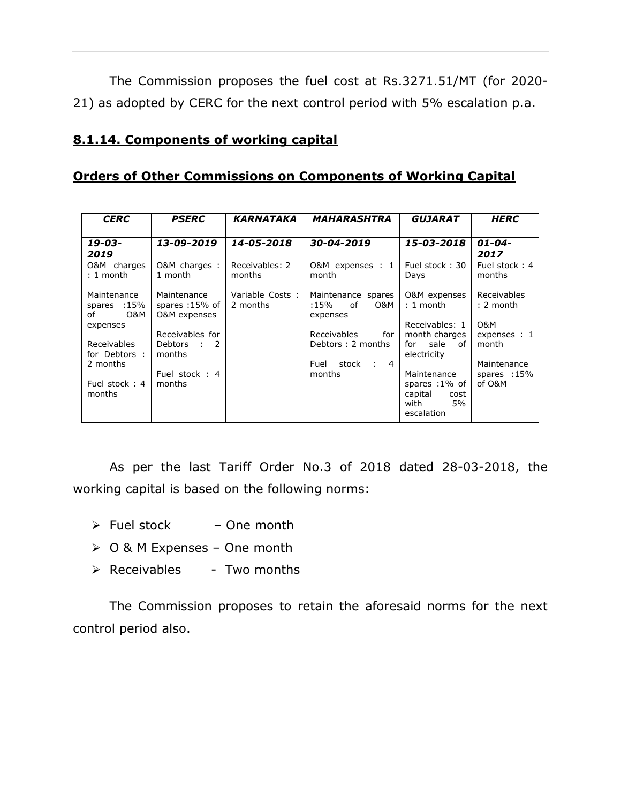The Commission proposes the fuel cost at Rs.3271.51/MT (for 2020- 21) as adopted by CERC for the next control period with 5% escalation p.a.

## **8.1.14. Components of working capital**

## **Orders of Other Commissions on Components of Working Capital**

| <b>CERC</b>                             | <b>PSERC</b>                                             | <b>KARNATAKA</b>            | <b>MAHARASHTRA</b>                                       | <i><b>GUJARAT</b></i>                                        | <b>HERC</b>                             |
|-----------------------------------------|----------------------------------------------------------|-----------------------------|----------------------------------------------------------|--------------------------------------------------------------|-----------------------------------------|
| 19-03-<br>2019                          | 13-09-2019                                               | 14-05-2018                  | 30-04-2019                                               | 15-03-2018                                                   | $01 - 04 -$<br>2017                     |
| O&M charges<br>$: 1$ month              | O&M charges :<br>1 month                                 | Receivables: 2<br>months    | O&M expenses : 1<br>month                                | Fuel stock: 30<br>Days                                       | Fuel stock: 4<br>months                 |
| Maintenance<br>spares :15%<br>O&M<br>of | Maintenance<br>spares :15% of<br><b>O&amp;M</b> expenses | Variable Costs:<br>2 months | Maintenance spares<br>of<br>O&M<br>:15%<br>expenses      | O&M expenses<br>$: 1$ month                                  | Receivables<br>$: 2$ month              |
| expenses<br>Receivables                 | Receivables for<br>Debtors : 2                           |                             | Receivables<br>for<br>Debtors: 2 months                  | Receivables: 1<br>month charges<br>for sale of               | <b>O&amp;M</b><br>expenses : 1<br>month |
| for Debtors :<br>2 months               | months<br>Fuel stock: 4                                  |                             | Fuel<br>stock<br>$\overline{4}$<br>$\sim 10^6$<br>months | electricity<br>Maintenance                                   | Maintenance<br>spares :15%              |
| Fuel stock: 4<br>months                 | months                                                   |                             |                                                          | spares :1% of<br>capital<br>cost<br>5%<br>with<br>escalation | of O&M                                  |

As per the last Tariff Order No.3 of 2018 dated 28-03-2018, the working capital is based on the following norms:

- $\triangleright$  Fuel stock One month
- O & M Expenses One month
- $\triangleright$  Receivables Two months

The Commission proposes to retain the aforesaid norms for the next control period also.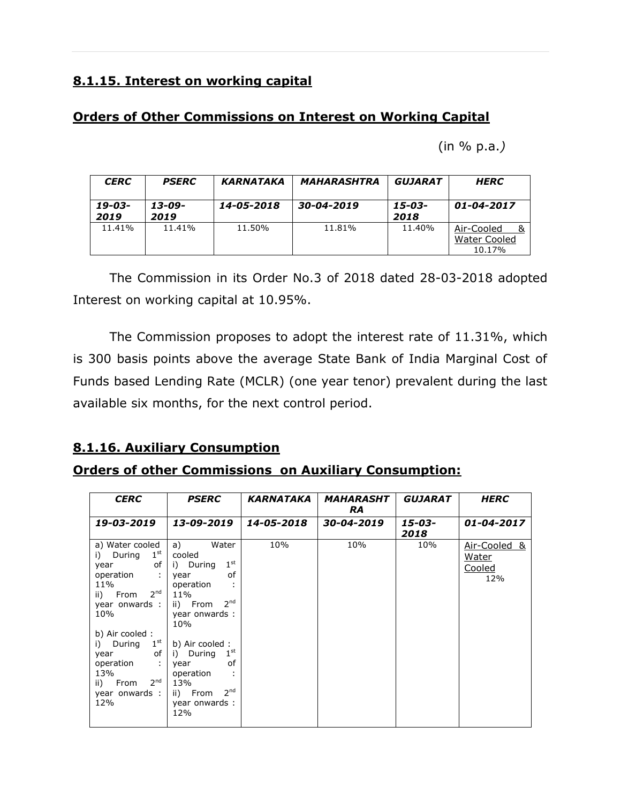## **8.1.15. Interest on working capital**

## **Orders of Other Commissions on Interest on Working Capital**

(in % p.a.*)*

| <b>CERC</b>    | <b>PSERC</b>   | <b>KARNATAKA</b> | <b>MAHARASHTRA</b> | GUJARAT        | <b>HERC</b>                          |
|----------------|----------------|------------------|--------------------|----------------|--------------------------------------|
| 19-03-<br>2019 | 13-09-<br>2019 | 14-05-2018       | 30-04-2019         | 15-03-<br>2018 | 01-04-2017                           |
| 11.41%         | 11.41%         | 11.50%           | 11.81%             | 11.40%         | Air-Cooled<br>Water Cooled<br>10.17% |

The Commission in its Order No.3 of 2018 dated 28-03-2018 adopted Interest on working capital at 10.95%.

The Commission proposes to adopt the interest rate of 11.31%, which is 300 basis points above the average State Bank of India Marginal Cost of Funds based Lending Rate (MCLR) (one year tenor) prevalent during the last available six months, for the next control period.

## **8.1.16. Auxiliary Consumption**

## **Orders of other Commissions on Auxiliary Consumption:**

| <b>CERC</b>                                                                                                                                                                                                                                                             | <b>PSERC</b>                                                                                                                                                                                                                                                                              | KARNATAKA  | <b>MAHARASHT</b><br><b>RA</b> | <b>GUJARAT</b> | <b>HERC</b>                                   |
|-------------------------------------------------------------------------------------------------------------------------------------------------------------------------------------------------------------------------------------------------------------------------|-------------------------------------------------------------------------------------------------------------------------------------------------------------------------------------------------------------------------------------------------------------------------------------------|------------|-------------------------------|----------------|-----------------------------------------------|
| 19-03-2019                                                                                                                                                                                                                                                              | 13-09-2019                                                                                                                                                                                                                                                                                | 14-05-2018 | 30-04-2019                    | 15-03-         | 01-04-2017                                    |
| a) Water cooled<br>$1^{\text{st}}$<br>i) During<br>of l<br>year<br>operation<br>11%<br>2 <sup>nd</sup><br>ii) From<br>year onwards :  <br>10%<br>b) Air cooled:<br>i) During $1st$<br>of I<br>year<br>operation<br>13%<br>$2^{nd}$<br>ii) From<br>year onwards :<br>12% | a)<br>Water<br>cooled<br>1 <sup>st</sup><br>i) During<br>of<br>year<br>operation<br>11%<br>2 <sup>nd</sup><br>ii) From<br>year onwards:<br>10%<br>b) Air cooled:<br>1 <sup>st</sup><br>i) During<br>of<br>year<br>operation<br>13%<br>2 <sup>nd</sup><br>ii) From<br>year onwards:<br>12% | 10%        | 10%                           | 2018<br>10%    | Air-Cooled &<br><u>Water</u><br>Cooled<br>12% |
|                                                                                                                                                                                                                                                                         |                                                                                                                                                                                                                                                                                           |            |                               |                |                                               |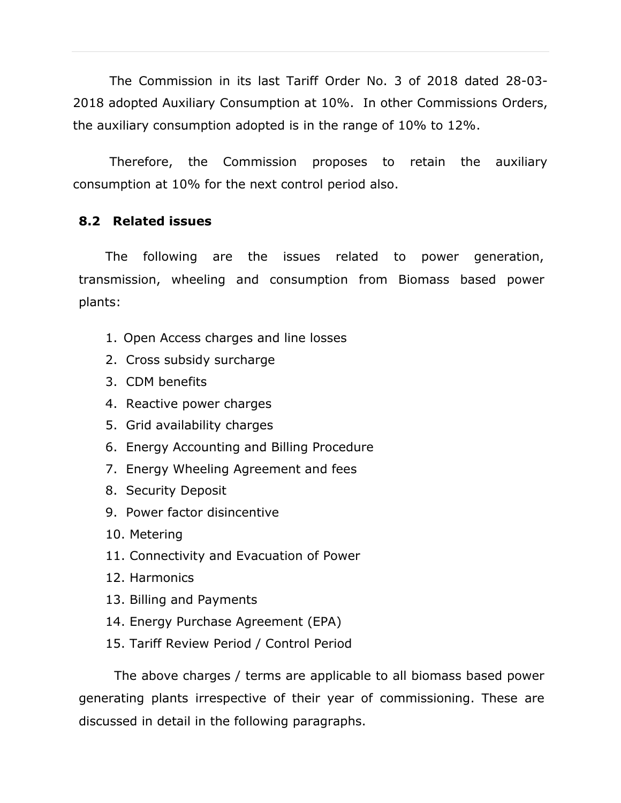The Commission in its last Tariff Order No. 3 of 2018 dated 28-03- 2018 adopted Auxiliary Consumption at 10%. In other Commissions Orders, the auxiliary consumption adopted is in the range of 10% to 12%.

Therefore, the Commission proposes to retain the auxiliary consumption at 10% for the next control period also.

## **8.2 Related issues**

The following are the issues related to power generation, transmission, wheeling and consumption from Biomass based power plants:

- 1. Open Access charges and line losses
- 2. Cross subsidy surcharge
- 3. CDM benefits
- 4. Reactive power charges
- 5. Grid availability charges
- 6. Energy Accounting and Billing Procedure
- 7. Energy Wheeling Agreement and fees
- 8. Security Deposit
- 9. Power factor disincentive
- 10. Metering
- 11. Connectivity and Evacuation of Power
- 12. Harmonics
- 13. Billing and Payments
- 14. Energy Purchase Agreement (EPA)
- 15. Tariff Review Period / Control Period

The above charges / terms are applicable to all biomass based power generating plants irrespective of their year of commissioning. These are discussed in detail in the following paragraphs.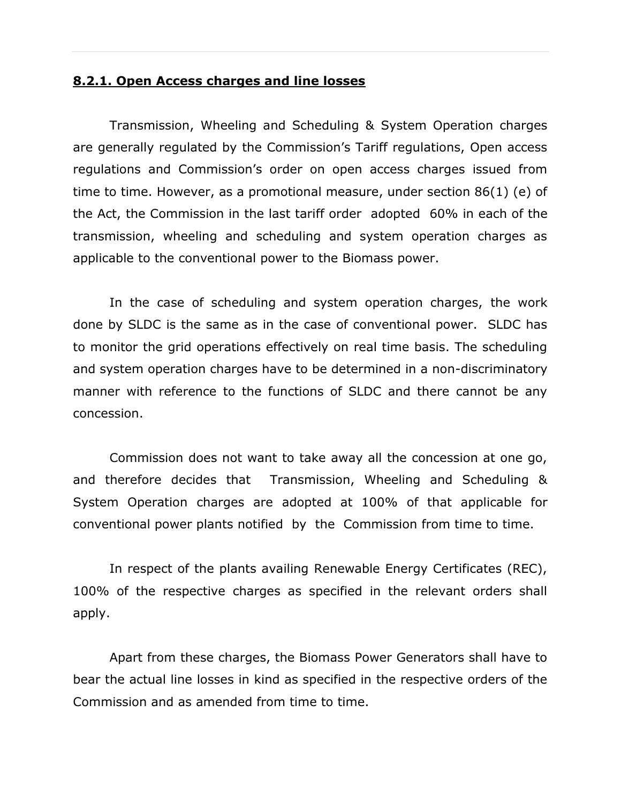#### **8.2.1. Open Access charges and line losses**

Transmission, Wheeling and Scheduling & System Operation charges are generally regulated by the Commission's Tariff regulations, Open access regulations and Commission's order on open access charges issued from time to time. However, as a promotional measure, under section 86(1) (e) of the Act, the Commission in the last tariff order adopted 60% in each of the transmission, wheeling and scheduling and system operation charges as applicable to the conventional power to the Biomass power.

In the case of scheduling and system operation charges, the work done by SLDC is the same as in the case of conventional power. SLDC has to monitor the grid operations effectively on real time basis. The scheduling and system operation charges have to be determined in a non-discriminatory manner with reference to the functions of SLDC and there cannot be any concession.

Commission does not want to take away all the concession at one go, and therefore decides that Transmission, Wheeling and Scheduling & System Operation charges are adopted at 100% of that applicable for conventional power plants notified by the Commission from time to time.

In respect of the plants availing Renewable Energy Certificates (REC), 100% of the respective charges as specified in the relevant orders shall apply.

Apart from these charges, the Biomass Power Generators shall have to bear the actual line losses in kind as specified in the respective orders of the Commission and as amended from time to time.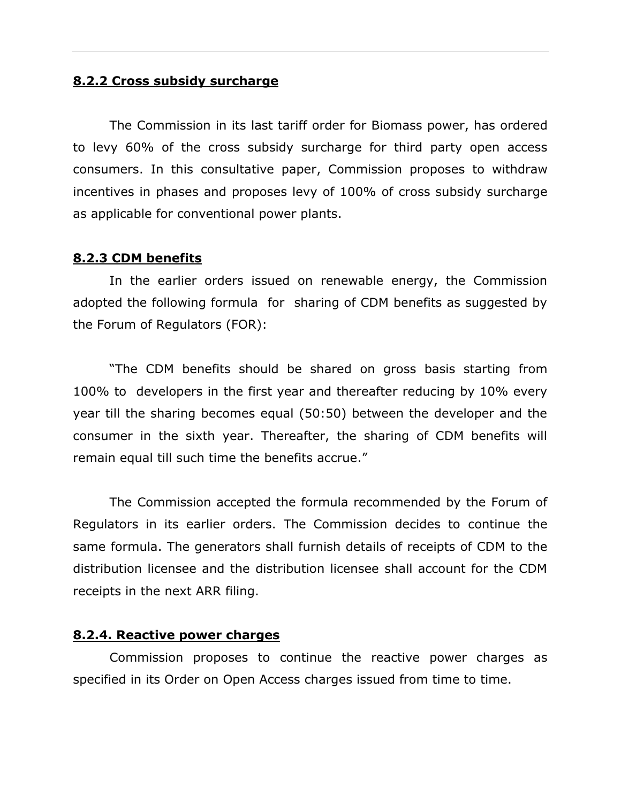#### **8.2.2 Cross subsidy surcharge**

The Commission in its last tariff order for Biomass power, has ordered to levy 60% of the cross subsidy surcharge for third party open access consumers. In this consultative paper, Commission proposes to withdraw incentives in phases and proposes levy of 100% of cross subsidy surcharge as applicable for conventional power plants.

#### **8.2.3 CDM benefits**

In the earlier orders issued on renewable energy, the Commission adopted the following formula for sharing of CDM benefits as suggested by the Forum of Regulators (FOR):

"The CDM benefits should be shared on gross basis starting from 100% to developers in the first year and thereafter reducing by 10% every year till the sharing becomes equal (50:50) between the developer and the consumer in the sixth year. Thereafter, the sharing of CDM benefits will remain equal till such time the benefits accrue."

The Commission accepted the formula recommended by the Forum of Regulators in its earlier orders. The Commission decides to continue the same formula. The generators shall furnish details of receipts of CDM to the distribution licensee and the distribution licensee shall account for the CDM receipts in the next ARR filing.

#### **8.2.4. Reactive power charges**

Commission proposes to continue the reactive power charges as specified in its Order on Open Access charges issued from time to time.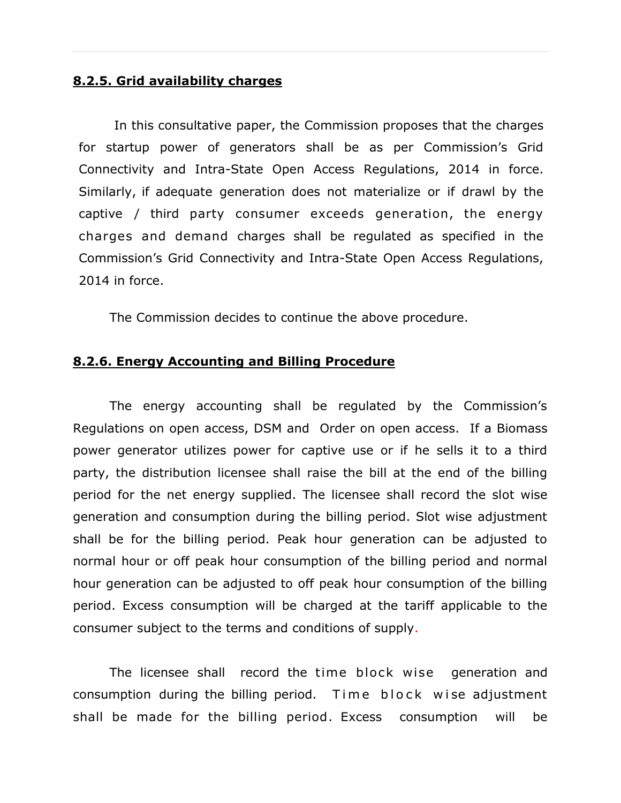#### **8.2.5. Grid availability charges**

In this consultative paper, the Commission proposes that the charges for startup power of generators shall be as per Commission's Grid Connectivity and Intra-State Open Access Regulations, 2014 in force. Similarly, if adequate generation does not materialize or if drawl by the captive / third party consumer exceeds generation, the energy charges and demand charges shall be regulated as specified in the Commission's Grid Connectivity and Intra-State Open Access Regulations, 2014 in force.

The Commission decides to continue the above procedure.

#### **8.2.6. Energy Accounting and Billing Procedure**

The energy accounting shall be regulated by the Commission's Regulations on open access, DSM and Order on open access. If a Biomass power generator utilizes power for captive use or if he sells it to a third party, the distribution licensee shall raise the bill at the end of the billing period for the net energy supplied. The licensee shall record the slot wise generation and consumption during the billing period. Slot wise adjustment shall be for the billing period. Peak hour generation can be adjusted to normal hour or off peak hour consumption of the billing period and normal hour generation can be adjusted to off peak hour consumption of the billing period. Excess consumption will be charged at the tariff applicable to the consumer subject to the terms and conditions of supply.

The licensee shall record the time block wise generation and consumption during the billing period. Time block wise adjustment shall be made for the billing period. Excess consumption will be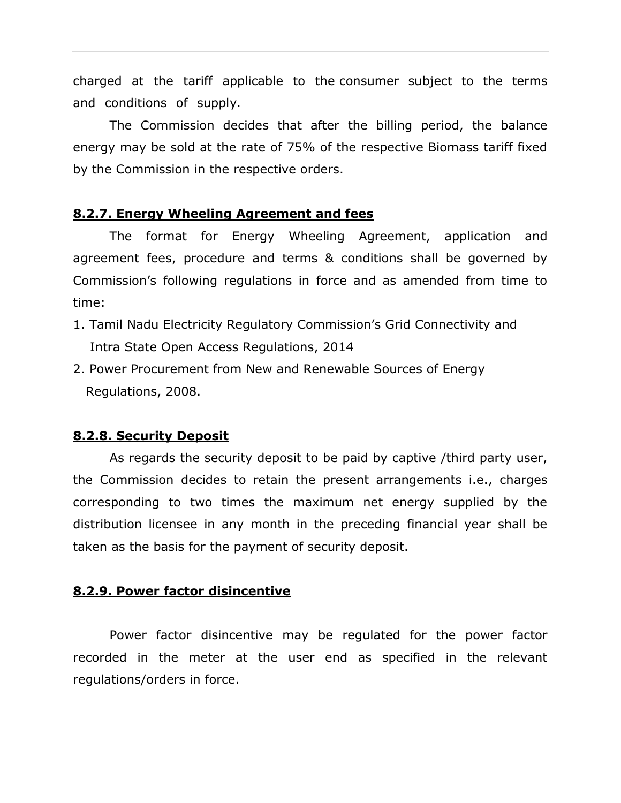charged at the tariff applicable to the consumer subject to the terms and conditions of supply.

The Commission decides that after the billing period, the balance energy may be sold at the rate of 75% of the respective Biomass tariff fixed by the Commission in the respective orders.

#### **8.2.7. Energy Wheeling Agreement and fees**

The format for Energy Wheeling Agreement, application and agreement fees, procedure and terms & conditions shall be governed by Commission's following regulations in force and as amended from time to time:

- 1. Tamil Nadu Electricity Regulatory Commission's Grid Connectivity and Intra State Open Access Regulations, 2014
- 2. Power Procurement from New and Renewable Sources of Energy Regulations, 2008.

#### **8.2.8. Security Deposit**

As regards the security deposit to be paid by captive /third party user, the Commission decides to retain the present arrangements i.e., charges corresponding to two times the maximum net energy supplied by the distribution licensee in any month in the preceding financial year shall be taken as the basis for the payment of security deposit.

#### **8.2.9. Power factor disincentive**

Power factor disincentive may be regulated for the power factor recorded in the meter at the user end as specified in the relevant regulations/orders in force.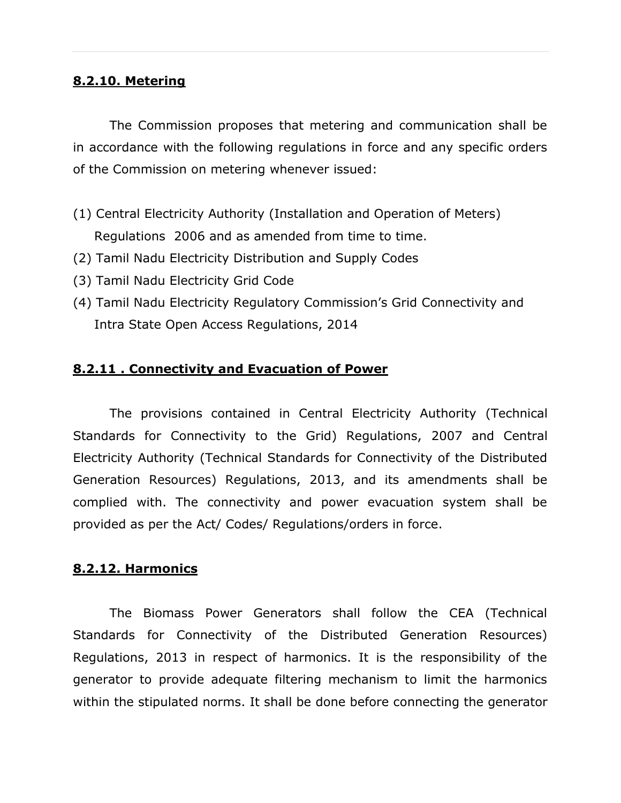#### **8.2.10. Metering**

The Commission proposes that metering and communication shall be in accordance with the following regulations in force and any specific orders of the Commission on metering whenever issued:

- (1) Central Electricity Authority (Installation and Operation of Meters) Regulations 2006 and as amended from time to time.
- (2) Tamil Nadu Electricity Distribution and Supply Codes
- (3) Tamil Nadu Electricity Grid Code
- (4) Tamil Nadu Electricity Regulatory Commission's Grid Connectivity and Intra State Open Access Regulations, 2014

## **8.2.11 . Connectivity and Evacuation of Power**

The provisions contained in Central Electricity Authority (Technical Standards for Connectivity to the Grid) Regulations, 2007 and Central Electricity Authority (Technical Standards for Connectivity of the Distributed Generation Resources) Regulations, 2013, and its amendments shall be complied with. The connectivity and power evacuation system shall be provided as per the Act/ Codes/ Regulations/orders in force.

## **8.2.12. Harmonics**

The Biomass Power Generators shall follow the CEA (Technical Standards for Connectivity of the Distributed Generation Resources) Regulations, 2013 in respect of harmonics. It is the responsibility of the generator to provide adequate filtering mechanism to limit the harmonics within the stipulated norms. It shall be done before connecting the generator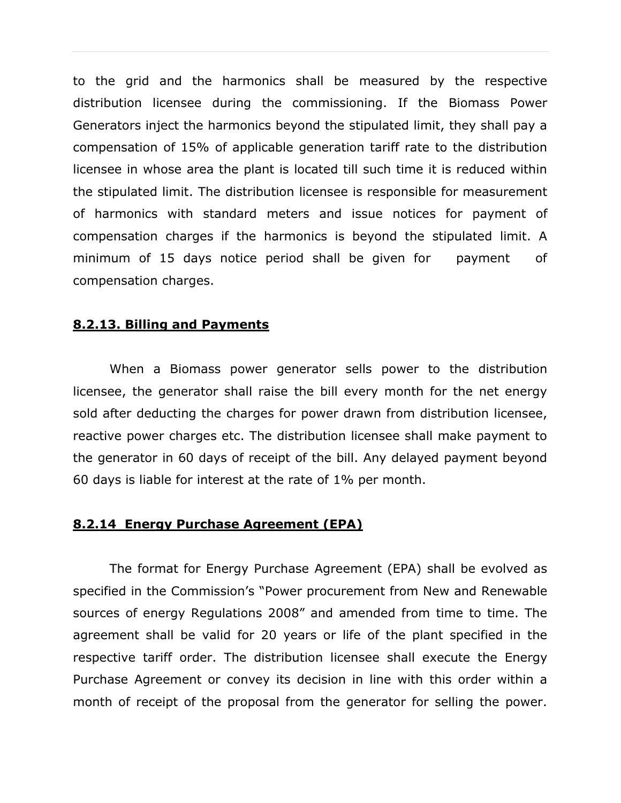to the grid and the harmonics shall be measured by the respective distribution licensee during the commissioning. If the Biomass Power Generators inject the harmonics beyond the stipulated limit, they shall pay a compensation of 15% of applicable generation tariff rate to the distribution licensee in whose area the plant is located till such time it is reduced within the stipulated limit. The distribution licensee is responsible for measurement of harmonics with standard meters and issue notices for payment of compensation charges if the harmonics is beyond the stipulated limit. A minimum of 15 days notice period shall be given for payment of compensation charges.

## **8.2.13. Billing and Payments**

When a Biomass power generator sells power to the distribution licensee, the generator shall raise the bill every month for the net energy sold after deducting the charges for power drawn from distribution licensee, reactive power charges etc. The distribution licensee shall make payment to the generator in 60 days of receipt of the bill. Any delayed payment beyond 60 days is liable for interest at the rate of 1% per month.

#### **8.2.14 Energy Purchase Agreement (EPA)**

The format for Energy Purchase Agreement (EPA) shall be evolved as specified in the Commission's "Power procurement from New and Renewable sources of energy Regulations 2008" and amended from time to time. The agreement shall be valid for 20 years or life of the plant specified in the respective tariff order. The distribution licensee shall execute the Energy Purchase Agreement or convey its decision in line with this order within a month of receipt of the proposal from the generator for selling the power.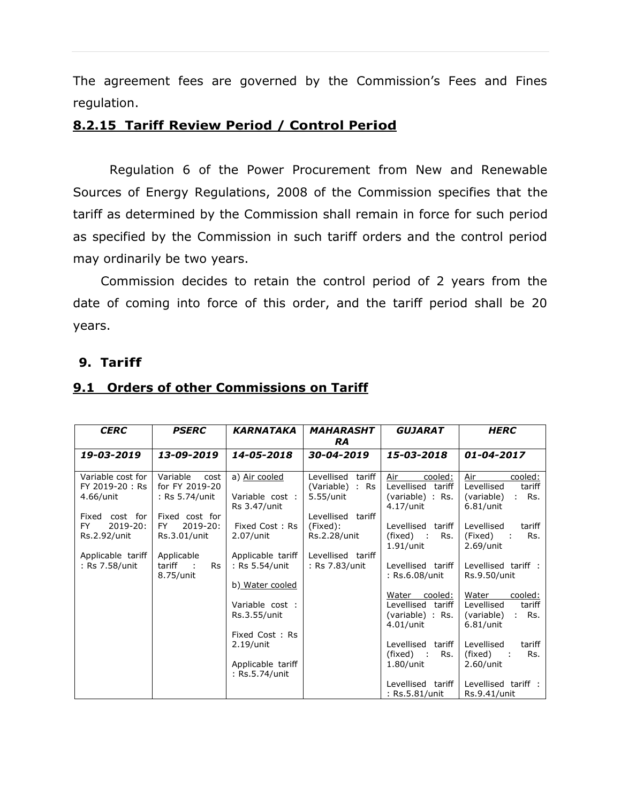The agreement fees are governed by the Commission's Fees and Fines regulation.

## **8.2.15 Tariff Review Period / Control Period**

Regulation 6 of the Power Procurement from New and Renewable Sources of Energy Regulations, 2008 of the Commission specifies that the tariff as determined by the Commission shall remain in force for such period as specified by the Commission in such tariff orders and the control period may ordinarily be two years.

Commission decides to retain the control period of 2 years from the date of coming into force of this order, and the tariff period shall be 20 years.

## **9. Tariff**

| <b>CERC</b>                                       | <b>PSERC</b>                                          | <b>KARNATAKA</b>                                                      | <b>MAHARASHT</b><br><b>RA</b>                        | <b>GUJARAT</b>                                                            | <b>HERC</b>                                                                      |
|---------------------------------------------------|-------------------------------------------------------|-----------------------------------------------------------------------|------------------------------------------------------|---------------------------------------------------------------------------|----------------------------------------------------------------------------------|
| 19-03-2019                                        | 13-09-2019                                            | 14-05-2018                                                            | 30-04-2019                                           | 15-03-2018                                                                | 01-04-2017                                                                       |
| Variable cost for<br>FY 2019-20: Rs<br>4.66/unit  | Variable<br>cost<br>for FY 2019-20<br>: Rs 5.74/unit  | a) Air cooled<br>Variable cost:<br>Rs 3.47/unit                       | Levellised<br>tariff<br>(Variable) : Rs<br>5.55/unit | Air<br>cooled:<br>Levellised tariff<br>(variable) : Rs.<br>4.17/unit      | Air<br>cooled:<br>Levellised<br>tariff<br>Rs.<br>(variable)<br>÷<br>6.81/unit    |
| Fixed cost for<br>2019-20:<br>FY.<br>Rs.2.92/unit | Fixed cost for<br>$2019 - 20:$<br>FY.<br>Rs.3.01/unit | Fixed Cost: Rs<br>$2.07/$ unit                                        | Levellised<br>tariff<br>(Fixed):<br>Rs.2.28/unit     | Levellised<br>tariff<br>(fixed) :<br>Rs.<br>$1.91/$ unit                  | Levellised<br>tariff<br>(Fixed)<br>Rs.<br>$2.69$ /unit                           |
| Applicable tariff<br>: Rs 7.58/unit               | Applicable<br>Rs<br>tariff<br>$\sim$ 1.<br>8.75/unit  | Applicable tariff<br>: Rs 5.54/unit<br>b) Water cooled                | Levellised tariff<br>: Rs 7.83/unit                  | Levellised tariff<br>: Rs.6.08/unit                                       | Levellised tariff :<br>Rs.9.50/unit                                              |
|                                                   |                                                       | Variable cost :<br>Rs.3.55/unit                                       |                                                      | cooled:<br>Water<br>Levellised tariff<br>(variable) : Rs.<br>$4.01/$ unit | Water<br>cooled:<br>Levellised<br>tariff<br>Rs.<br>(variable)<br>÷.<br>6.81/unit |
|                                                   |                                                       | Fixed Cost: Rs<br>$2.19$ /unit<br>Applicable tariff<br>: Rs.5.74/unit |                                                      | Levellised<br>tariff<br>Rs.<br>(fixed) :<br>$1.80$ /unit                  | Levellised<br>tariff<br>Rs.<br>(fixed)<br>$2.60$ /unit                           |
|                                                   |                                                       |                                                                       |                                                      | Levellised tariff<br>: Rs.5.81/unit                                       | Levellised tariff :<br>Rs.9.41/unit                                              |

#### **9.1 Orders of other Commissions on Tariff**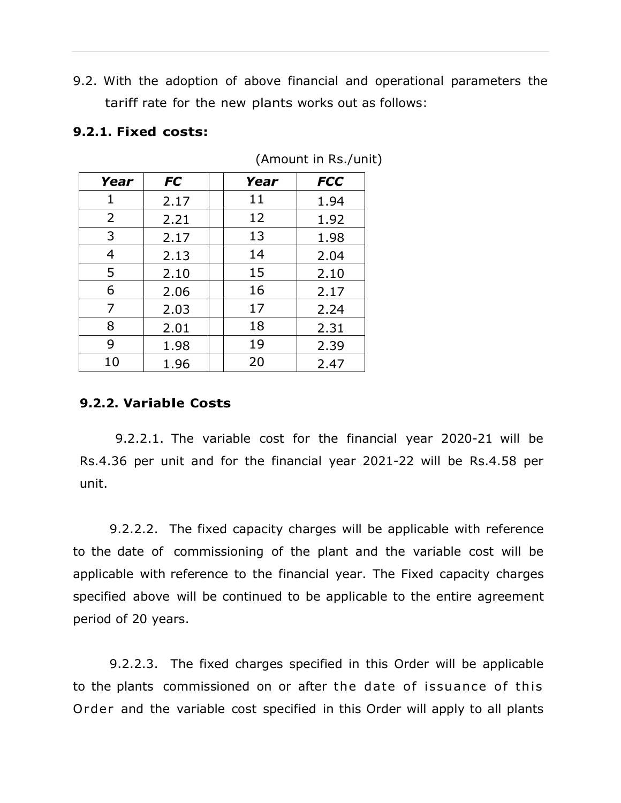9.2. With the adoption of above financial and operational parameters the tariff rate for the new plants works out as follows:

#### **9.2.1. Fixed costs:**

| Year | <b>FC</b> | Year | <b>FCC</b> |
|------|-----------|------|------------|
| 1    | 2.17      | 11   | 1.94       |
| 2    | 2.21      | 12   | 1.92       |
| 3    | 2.17      | 13   | 1.98       |
| 4    | 2.13      | 14   | 2.04       |
| 5    | 2.10      | 15   | 2.10       |
| 6    | 2.06      | 16   | 2.17       |
| 7    | 2.03      | 17   | 2.24       |
| 8    | 2.01      | 18   | 2.31       |
| 9    | 1.98      | 19   | 2.39       |
| 10   | 1.96      | 20   | 2.47       |

(Amount in Rs./unit)

## **9.2.2. Variable Costs**

9.2.2.1. The variable cost for the financial year 2020-21 will be Rs.4.36 per unit and for the financial year 2021-22 will be Rs.4.58 per unit.

9.2.2.2. The fixed capacity charges will be applicable with reference to the date of commissioning of the plant and the variable cost will be applicable with reference to the financial year. The Fixed capacity charges specified above will be continued to be applicable to the entire agreement period of 20 years.

9.2.2.3. The fixed charges specified in this Order will be applicable to the plants commissioned on or after the date of issuance of this Order and the variable cost specified in this Order will apply to all plants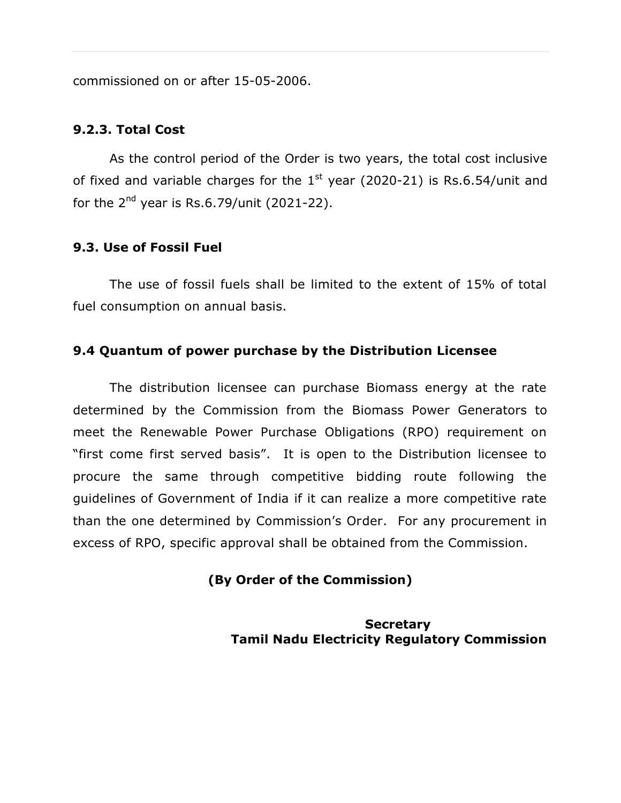commissioned on or after 15-05-2006.

#### **9.2.3. Total Cost**

As the control period of the Order is two years, the total cost inclusive of fixed and variable charges for the  $1<sup>st</sup>$  year (2020-21) is Rs.6.54/unit and for the  $2^{nd}$  year is Rs.6.79/unit (2021-22).

## **9.3. Use of Fossil Fuel**

The use of fossil fuels shall be limited to the extent of 15% of total fuel consumption on annual basis.

#### **9.4 Quantum of power purchase by the Distribution Licensee**

The distribution licensee can purchase Biomass energy at the rate determined by the Commission from the Biomass Power Generators to meet the Renewable Power Purchase Obligations (RPO) requirement on "first come first served basis". It is open to the Distribution licensee to procure the same through competitive bidding route following the guidelines of Government of India if it can realize a more competitive rate than the one determined by Commission's Order. For any procurement in excess of RPO, specific approval shall be obtained from the Commission.

## **(By Order of the Commission)**

**Secretary Tamil Nadu Electricity Regulatory Commission**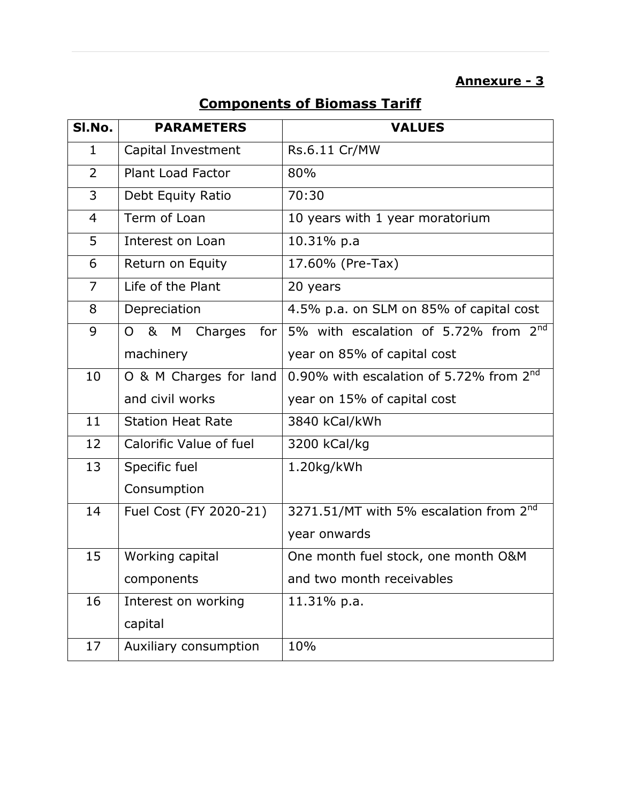## **Annexure - 3**

# **Components of Biomass Tariff**

| SI.No.         | <b>PARAMETERS</b>                    | <b>VALUES</b>                                       |  |  |  |
|----------------|--------------------------------------|-----------------------------------------------------|--|--|--|
| 1              | Capital Investment                   | Rs.6.11 Cr/MW                                       |  |  |  |
| 2              | Plant Load Factor                    | 80%                                                 |  |  |  |
| 3              | Debt Equity Ratio                    | 70:30                                               |  |  |  |
| $\overline{4}$ | Term of Loan                         | 10 years with 1 year moratorium                     |  |  |  |
| 5              | Interest on Loan                     | 10.31% p.a                                          |  |  |  |
| 6              | Return on Equity                     | 17.60% (Pre-Tax)                                    |  |  |  |
| $\overline{7}$ | Life of the Plant                    | 20 years                                            |  |  |  |
| 8              | Depreciation                         | 4.5% p.a. on SLM on 85% of capital cost             |  |  |  |
| 9              | & M Charges<br>$\overline{O}$<br>for | 5% with escalation of 5.72% from 2 <sup>nd</sup>    |  |  |  |
|                | machinery                            | year on 85% of capital cost                         |  |  |  |
| 10             | O & M Charges for land               | 0.90% with escalation of 5.72% from 2 <sup>nd</sup> |  |  |  |
|                | and civil works                      | year on 15% of capital cost                         |  |  |  |
| 11             | <b>Station Heat Rate</b>             | 3840 kCal/kWh                                       |  |  |  |
| 12             | Calorific Value of fuel              | 3200 kCal/kg                                        |  |  |  |
| 13             | Specific fuel                        | 1.20kg/kWh                                          |  |  |  |
|                | Consumption                          |                                                     |  |  |  |
| 14             | Fuel Cost (FY 2020-21)               | 3271.51/MT with 5% escalation from 2 <sup>nd</sup>  |  |  |  |
|                |                                      | year onwards                                        |  |  |  |
| 15             | Working capital                      | One month fuel stock, one month O&M                 |  |  |  |
|                | components                           | and two month receivables                           |  |  |  |
| 16             | Interest on working                  | 11.31% p.a.                                         |  |  |  |
|                | capital                              |                                                     |  |  |  |
| 17             | Auxiliary consumption                | 10%                                                 |  |  |  |